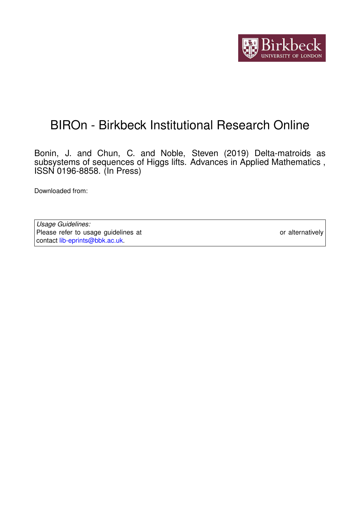

# BIROn - Birkbeck Institutional Research Online

Bonin, J. and Chun, C. and Noble, Steven (2019) Delta-matroids as subsystems of sequences of Higgs lifts. Advances in Applied Mathematics , ISSN 0196-8858. (In Press)

Downloaded from: <https://eprints.bbk.ac.uk/id/eprint/27346/>

*Usage Guidelines:* Please refer to usage guidelines at <https://eprints.bbk.ac.uk/policies.html> or alternatively contact [lib-eprints@bbk.ac.uk.](mailto:lib-eprints@bbk.ac.uk)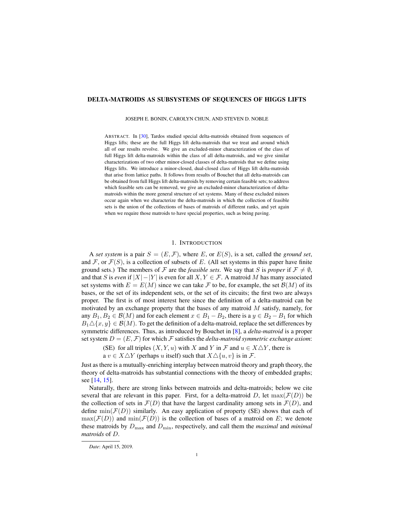## <span id="page-1-0"></span>DELTA-MATROIDS AS SUBSYSTEMS OF SEQUENCES OF HIGGS LIFTS

JOSEPH E. BONIN, CAROLYN CHUN, AND STEVEN D. NOBLE

ABSTRACT. In [\[30\]](#page-24-0), Tardos studied special delta-matroids obtained from sequences of Higgs lifts; these are the full Higgs lift delta-matroids that we treat and around which all of our results revolve. We give an excluded-minor characterization of the class of full Higgs lift delta-matroids within the class of all delta-matroids, and we give similar characterizations of two other minor-closed classes of delta-matroids that we define using Higgs lifts. We introduce a minor-closed, dual-closed class of Higgs lift delta-matroids that arise from lattice paths. It follows from results of Bouchet that all delta-matroids can be obtained from full Higgs lift delta-matroids by removing certain feasible sets; to address which feasible sets can be removed, we give an excluded-minor characterization of deltamatroids within the more general structure of set systems. Many of these excluded minors occur again when we characterize the delta-matroids in which the collection of feasible sets is the union of the collections of bases of matroids of different ranks, and yet again when we require those matroids to have special properties, such as being paving.

## 1. INTRODUCTION

A *set system* is a pair  $S = (E, \mathcal{F})$ , where E, or  $E(S)$ , is a set, called the *ground set*, and  $\mathcal F$ , or  $\mathcal F(S)$ , is a collection of subsets of E. (All set systems in this paper have finite ground sets.) The members of F are the *feasible sets*. We say that S is *proper* if  $\mathcal{F} \neq \emptyset$ , and that S is *even* if  $|X| - |Y|$  is even for all  $X, Y \in \mathcal{F}$ . A matroid M has many associated set systems with  $E = E(M)$  since we can take F to be, for example, the set  $\mathcal{B}(M)$  of its bases, or the set of its independent sets, or the set of its circuits; the first two are always proper. The first is of most interest here since the definition of a delta-matroid can be motivated by an exchange property that the bases of any matroid  $M$  satisfy, namely, for any  $B_1, B_2 \in \mathcal{B}(M)$  and for each element  $x \in B_1 - B_2$ , there is a  $y \in B_2 - B_1$  for which  $B_1 \triangle \{x, y\} \in \mathcal{B}(M)$ . To get the definition of a delta-matroid, replace the set differences by symmetric differences. Thus, as introduced by Bouchet in [\[8\]](#page-23-0), a *delta-matroid* is a proper set system  $D = (E, \mathcal{F})$  for which  $\mathcal F$  satisfies the *delta-matroid symmetric exchange axiom*:

(SE) for all triples  $(X, Y, u)$  with X and Y in F and  $u \in X \triangle Y$ , there is

a  $v \in X \triangle Y$  (perhaps u itself) such that  $X \triangle \{u, v\}$  is in F.

Just as there is a mutually-enriching interplay between matroid theory and graph theory, the theory of delta-matroids has substantial connections with the theory of embedded graphs; see [\[14,](#page-23-1) [15\]](#page-23-2).

Naturally, there are strong links between matroids and delta-matroids; below we cite several that are relevant in this paper. First, for a delta-matroid D, let  $max(\mathcal{F}(D))$  be the collection of sets in  $\mathcal{F}(D)$  that have the largest cardinality among sets in  $\mathcal{F}(D)$ , and define  $\min(\mathcal{F}(D))$  similarly. An easy application of property (SE) shows that each of  $\max(\mathcal{F}(D))$  and  $\min(\mathcal{F}(D))$  is the collection of bases of a matroid on E; we denote these matroids by  $D_{\text{max}}$  and  $D_{\text{min}}$ , respectively, and call them the *maximal* and *minimal matroids* of D.

*Date*: April 15, 2019.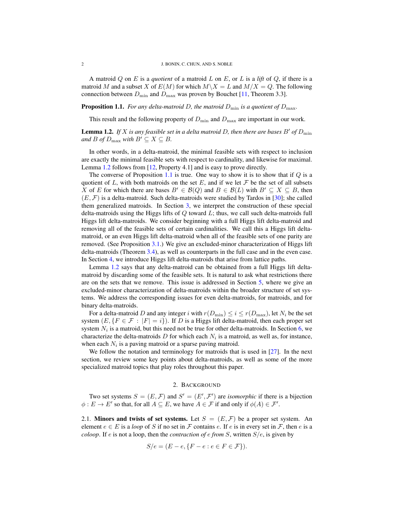A matroid Q on E is a *quotient* of a matroid L on E, or L is a *lift* of Q, if there is a matroid M and a subset X of  $E(M)$  for which  $M\setminus X = L$  and  $M/X = Q$ . The following connection between  $D_{\text{min}}$  and  $D_{\text{max}}$  was proven by Bouchet [\[11,](#page-23-3) Theorem 3.3].

<span id="page-2-1"></span>**Proposition 1.1.** *For any delta-matroid D, the matroid*  $D_{\min}$  *is a quotient of*  $D_{\max}$ *.* 

This result and the following property of  $D_{\min}$  and  $D_{\max}$  are important in our work.

<span id="page-2-0"></span>**Lemma 1.2.** If X is any feasible set in a delta matroid D, then there are bases B' of  $D_{\min}$ *and B of*  $D_{\text{max}}$  *with*  $B' \subseteq X \subseteq B$ .

In other words, in a delta-matroid, the minimal feasible sets with respect to inclusion are exactly the minimal feasible sets with respect to cardinality, and likewise for maximal. Lemma [1.2](#page-2-0) follows from [\[12,](#page-23-4) Property 4.1] and is easy to prove directly.

The converse of Proposition [1.1](#page-2-1) is true. One way to show it is to show that if  $Q$  is a quotient of L, with both matroids on the set E, and if we let  $\mathcal F$  be the set of all subsets X of E for which there are bases  $B' \in \mathcal{B}(Q)$  and  $B \in \mathcal{B}(L)$  with  $B' \subseteq X \subseteq B$ , then  $(E, \mathcal{F})$  is a delta-matroid. Such delta-matroids were studied by Tardos in [\[30\]](#page-24-0); she called them generalized matroids. In Section [3,](#page-4-0) we interpret the construction of these special delta-matroids using the Higgs lifts of  $Q$  toward  $L$ ; thus, we call such delta-matroids full Higgs lift delta-matroids. We consider beginning with a full Higgs lift delta-matroid and removing all of the feasible sets of certain cardinalities. We call this a Higgs lift deltamatroid, or an even Higgs lift delta-matroid when all of the feasible sets of one parity are removed. (See Proposition [3.1.](#page-4-1)) We give an excluded-minor characterization of Higgs lift delta-matroids (Theorem [3.4\)](#page-5-0), as well as counterparts in the full case and in the even case. In Section [4,](#page-6-0) we introduce Higgs lift delta-matroids that arise from lattice paths.

Lemma [1.2](#page-2-0) says that any delta-matroid can be obtained from a full Higgs lift deltamatroid by discarding some of the feasible sets. It is natural to ask what restrictions there are on the sets that we remove. This issue is addressed in Section [5,](#page-11-0) where we give an excluded-minor characterization of delta-matroids within the broader structure of set systems. We address the corresponding issues for even delta-matroids, for matroids, and for binary delta-matroids.

For a delta-matroid D and any integer i with  $r(D_{\min}) \le i \le r(D_{\max})$ , let  $N_i$  be the set system  $(E, {F \in \mathcal{F} : |F| = i})$ . If D is a Higgs lift delta-matroid, then each proper set system  $N_i$  is a matroid, but this need not be true for other delta-matroids. In Section [6,](#page-16-0) we characterize the delta-matroids D for which each  $N_i$  is a matroid, as well as, for instance, when each  $N_i$  is a paving matroid or a sparse paving matroid.

We follow the notation and terminology for matroids that is used in [\[27\]](#page-23-5). In the next section, we review some key points about delta-matroids, as well as some of the more specialized matroid topics that play roles throughout this paper.

### 2. BACKGROUND

Two set systems  $S = (E, \mathcal{F})$  and  $S' = (E', \mathcal{F}')$  are *isomorphic* if there is a bijection  $\phi: E \to E'$  so that, for all  $A \subseteq E$ , we have  $A \in \mathcal{F}$  if and only if  $\phi(A) \in \mathcal{F}'$ .

2.1. Minors and twists of set systems. Let  $S = (E, \mathcal{F})$  be a proper set system. An element  $e \in E$  is a *loop* of S if no set in F contains e. If e is in every set in F, then e is a *coloop*. If e is not a loop, then the *contraction of* e *from* S, written S/e, is given by

$$
S/e = (E - e, \{F - e : e \in F \in \mathcal{F}\}).
$$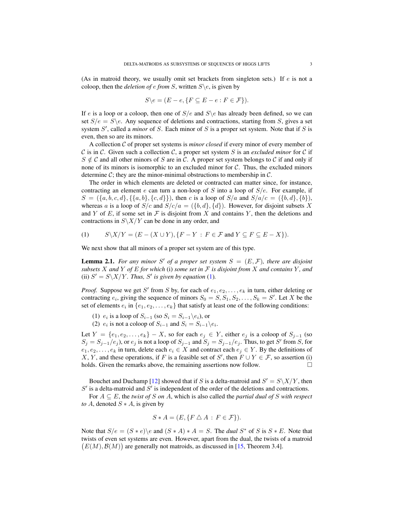(As in matroid theory, we usually omit set brackets from singleton sets.) If  $e$  is not a coloop, then the *deletion of e from* S, written  $S \e$ , is given by

$$
S \backslash e = (E - e, \{ F \subseteq E - e : F \in \mathcal{F} \}).
$$

If e is a loop or a coloop, then one of  $S/e$  and  $S \e$  has already been defined, so we can set  $S/e = S \e$ . Any sequence of deletions and contractions, starting from S, gives a set system  $S'$ , called a *minor* of  $S$ . Each minor of  $S$  is a proper set system. Note that if  $S$  is even, then so are its minors.

A collection C of proper set systems is *minor closed* if every minor of every member of C is in C. Given such a collection C, a proper set system S is an *excluded minor* for C if  $S \notin \mathcal{C}$  and all other minors of S are in C. A proper set system belongs to C if and only if none of its minors is isomorphic to an excluded minor for  $C$ . Thus, the excluded minors determine  $\mathcal{C}$ ; they are the minor-minimal obstructions to membership in  $\mathcal{C}$ .

The order in which elements are deleted or contracted can matter since, for instance, contracting an element e can turn a non-loop of S into a loop of  $S/e$ . For example, if  $S = (\{a, b, c, d\}, \{a, b\}, \{c, d\})$ , then c is a loop of  $S/a$  and  $S/a/c = (\{b, d\}, \{b\})$ , whereas a is a loop of  $S/c$  and  $S/c/a = (\{b, d\}, \{d\})$ . However, for disjoint subsets X and Y of E, if some set in  $\mathcal F$  is disjoint from X and contains Y, then the deletions and contractions in  $S\X/Y$  can be done in any order, and

<span id="page-3-0"></span>(1) 
$$
S\setminus X/Y = (E - (X \cup Y), \{F - Y : F \in \mathcal{F} \text{ and } Y \subseteq F \subseteq E - X\}).
$$

We next show that all minors of a proper set system are of this type.

<span id="page-3-1"></span>**Lemma 2.1.** For any minor S' of a proper set system  $S = (E, \mathcal{F})$ , there are disjoint *subsets* X and Y of E for which (i) some set in F is disjoint from X and contains Y, and (ii)  $S' = S\{\frac{X}{Y}$ *. Thus, S' is given by equation* [\(1\)](#page-3-0)*.* 

*Proof.* Suppose we get S' from S by, for each of  $e_1, e_2, \ldots, e_k$  in turn, either deleting or contracting  $e_i$ , giving the sequence of minors  $S_0 = S, S_1, S_2, \dots, S_k = S'$ . Let X be the set of elements  $e_i$  in  $\{e_1, e_2, \ldots, e_k\}$  that satisfy at least one of the following conditions:

(1)  $e_i$  is a loop of  $S_{i-1}$  (so  $S_i = S_{i-1} \backslash e_i$ ), or

(2)  $e_i$  is not a coloop of  $S_{i-1}$  and  $S_i = S_{i-1}\backslash e_i$ .

Let  $Y = \{e_1, e_2, \ldots, e_k\} - X$ , so for each  $e_j \in Y$ , either  $e_j$  is a coloop of  $S_{j-1}$  (so  $S_j = S_{j-1}/e_j$ , or  $e_j$  is not a loop of  $S_{j-1}$  and  $S_j = S_{j-1}/e_j$ . Thus, to get S' from S, for  $e_1, e_2, \ldots, e_k$  in turn, delete each  $e_i \in X$  and contract each  $e_i \in Y$ . By the definitions of X, Y, and these operations, if F is a feasible set of S', then  $F \cup Y \in \mathcal{F}$ , so assertion (i) holds. Given the remarks above, the remaining assertions now follow.

Bouchet and Duchamp [\[12\]](#page-23-4) showed that if S is a delta-matroid and  $S' = S\X/Y$ , then  $S'$  is a delta-matroid and  $S'$  is independent of the order of the deletions and contractions.

For  $A \subseteq E$ , the *twist of* S *on* A, which is also called the *partial dual of* S *with respect to* A, denoted  $S \times A$ , is given by

$$
S * A = (E, \{ F \bigtriangleup A : F \in \mathcal{F} \}).
$$

Note that  $S/e = (S * e) \e$  and  $(S * A) * A = S$ . The *dual*  $S^*$  of S is  $S * E$ . Note that twists of even set systems are even. However, apart from the dual, the twists of a matroid  $(E(M), \mathcal{B}(M))$  are generally not matroids, as discussed in [\[15,](#page-23-2) Theorem 3.4].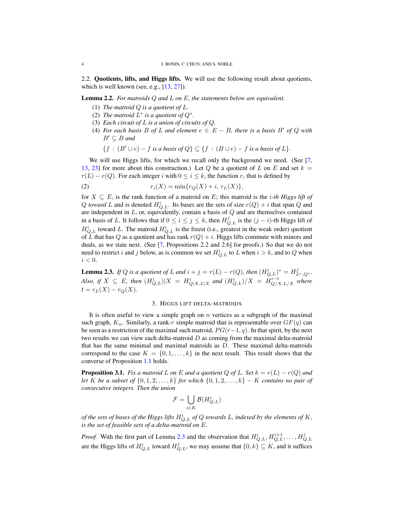2.2. Quotients, lifts, and Higgs lifts. We will use the following result about quotients, which is well known (see, e.g., [\[13,](#page-23-6) [27\]](#page-23-5)).

<span id="page-4-4"></span>Lemma 2.2. *For matroids* Q *and* L *on* E*, the statements below are equivalent.*

- (1) *The matroid* Q *is a quotient of* L*.*
- (2) The matroid  $L^*$  is a quotient of  $Q^*$ .
- <span id="page-4-3"></span>(3) *Each circuit of* L *is a union of circuits of* Q*.*
- <span id="page-4-5"></span>(4) *For each basis* B *of* L *and element*  $e \in E - B$ *, there is a basis* B' *of* Q *with*  $B' \subseteq B$  and

$$
\{f : (B' \cup e) - f \text{ is a basis of } Q\} \subseteq \{f : (B \cup e) - f \text{ is a basis of } L\}.
$$

We will use Higgs lifts, for which we recall only the background we need. (See [\[7,](#page-23-7) [13,](#page-23-6) [23\]](#page-23-8) for more about this construction.) Let Q be a quotient of L on E and set  $k =$  $r(L) - r(Q)$ . For each integer i with  $0 \le i \le k$ , the function  $r_i$  that is defined by

(2) 
$$
r_i(X) = \min\{r_Q(X) + i, r_L(X)\},\
$$

for  $X \subseteq E$ , is the rank function of a matroid on E; this matroid is the *i-th Higgs lift of* Q *toward* L and is denoted  $H_{Q,L}^i$ . Its bases are the sets of size  $r(Q) + i$  that span Q and are independent in  $L$ , or, equivalently, contain a basis of  $Q$  and are themselves contained in a basis of L. It follows that if  $0 \le i \le j \le k$ , then  $H_{Q,L}^j$  is the  $(j - i)$ -th Higgs lift of  $H_{Q,L}^{i}$  toward L. The matroid  $H_{Q,L}^{i}$  is the freest (i.e., greatest in the weak order) quotient of L that has Q as a quotient and has rank  $r(Q) + i$ . Higgs lifts commute with minors and duals, as we state next. (See [\[7,](#page-23-7) Propositions 2.2 and 2.6] for proofs.) So that we do not need to restrict i and j below, as is common we set  $H_{Q,L}^i$  to L when  $i > k$ , and to Q when  $i < 0$ .

<span id="page-4-2"></span>**Lemma 2.3.** *If Q is a quotient of L and*  $i + j = r(L) - r(Q)$ *, then*  $(H_{Q,L}^i)^* = H_{L^*,Q^*}^j$ *. Also, if*  $X \subseteq E$ *, then*  $(H_{Q,L}^i)|X = H_{Q|X,L|X}^i$  and  $(H_{Q,L}^i)/X = H_{Q/X,L/X}^{i-t}$  where  $t = r_L(X) - r_Q(X)$ .

## 3. HIGGS LIFT DELTA-MATROIDS

<span id="page-4-0"></span>It is often useful to view a simple graph on  $n$  vertices as a subgraph of the maximal such graph,  $K_n$ . Similarly, a rank-r simple matroid that is representable over  $GF(q)$  can be seen as a restriction of the maximal such matroid,  $PG(r-1, q)$ . In that spirit, by the next two results we can view each delta-matroid  $D$  as coming from the maximal delta-matroid that has the same minimal and maximal matroids as  $D$ . These maximal delta-matroids correspond to the case  $K = \{0, 1, \ldots, k\}$  in the next result. This result shows that the converse of Proposition [1.1](#page-2-1) holds.

<span id="page-4-1"></span>**Proposition 3.1.** *Fix a matroid* L *on* E *and a quotient* Q *of* L. Set  $k = r(L) - r(Q)$  *and let* K *be a subset of* {0, 1, 2, . . . , k} *for which* {0, 1, 2, . . . , k} − K *contains no pair of consecutive integers. Then the union*

$$
\mathcal{F} = \bigcup_{i \in K} \mathcal{B}(H_{Q,L}^i)
$$

*of the sets of bases of the Higgs lifts*  $H_{Q,L}^i$  *of*  $Q$  *towards L, indexed by the elements of*  $K$ *, is the set of feasible sets of a delta-matroid on* E*.*

*Proof.* With the first part of Lemma [2.3](#page-4-2) and the observation that  $H_{Q,L}^i, H_{Q,L}^{i+1}, \ldots, H_{Q,L}^j$ are the Higgs lifts of  $H_{Q,L}^i$  toward  $H_{Q,L}^j$ , we may assume that  $\{0,k\} \subseteq K$ , and it suffices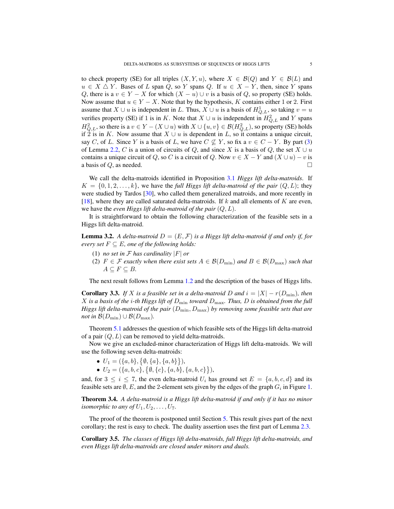to check property (SE) for all triples  $(X, Y, u)$ , where  $X \in \mathcal{B}(Q)$  and  $Y \in \mathcal{B}(L)$  and  $u \in X \triangle Y$ . Bases of L span Q, so Y spans Q. If  $u \in X - Y$ , then, since Y spans Q, there is a  $v \in Y - X$  for which  $(X - u) \cup v$  is a basis of Q, so property (SE) holds. Now assume that  $u \in Y - X$ . Note that by the hypothesis, K contains either 1 or 2. First assume that  $X \cup u$  is independent in L. Thus,  $X \cup u$  is a basis of  $H_{Q,L}^1$ , so taking  $v = u$ verifies property (SE) if 1 is in K. Note that  $X \cup u$  is independent in  $H_{Q,L}^2$  and Y spans  $H_{Q,L}^2$ , so there is a  $v \in Y - (X \cup u)$  with  $X \cup \{u, v\} \in \mathcal{B}(H_{Q,L}^2)$ , so property (SE) holds if 2 is in K. Now assume that  $X \cup u$  is dependent in L, so it contains a unique circuit, say C, of L. Since Y is a basis of L, we have  $C \nsubseteq Y$ , so fix a  $v \in C - Y$ . By part [\(3\)](#page-4-3) of Lemma [2.2,](#page-4-4) C is a union of circuits of Q, and since X is a basis of Q, the set  $X \cup u$ contains a unique circuit of Q, so C is a circuit of Q. Now  $v \in X - Y$  and  $(X \cup u) - v$  is a basis of  $Q$ , as needed.

We call the delta-matroids identified in Proposition [3.1](#page-4-1) *Higgs lift delta-matroids*. If  $K = \{0, 1, 2, \ldots, k\}$ , we have the *full Higgs lift delta-matroid of the pair*  $(Q, L)$ ; they were studied by Tardos [\[30\]](#page-24-0), who called them generalized matroids, and more recently in [\[18\]](#page-23-9), where they are called saturated delta-matroids. If  $k$  and all elements of  $K$  are even, we have the *even Higgs lift delta-matroid of the pair* (Q, L).

It is straightforward to obtain the following characterization of the feasible sets in a Higgs lift delta-matroid.

<span id="page-5-1"></span>**Lemma 3.2.** A delta-matroid  $D = (E, \mathcal{F})$  is a Higgs lift delta-matroid if and only if, for *every set*  $F \subseteq E$ *, one of the following holds:* 

- (1) *no set in*  $\mathcal F$  *has cardinality*  $|F|$  *or*
- (2)  $F \in \mathcal{F}$  *exactly when there exist sets*  $A \in \mathcal{B}(D_{\min})$  *and*  $B \in \mathcal{B}(D_{\max})$  *such that*  $A \subseteq F \subseteq B$ .

The next result follows from Lemma [1.2](#page-2-0) and the description of the bases of Higgs lifts.

<span id="page-5-2"></span>**Corollary 3.3.** *If* X *is a feasible set in a delta-matroid* D *and*  $i = |X| - r(D_{\min})$ *, then* X *is a basis of the* i*-th Higgs lift of* Dmin *toward* Dmax*. Thus,* D *is obtained from the full Higgs lift delta-matroid of the pair*  $(D_{\min}, D_{\max})$  *by removing some feasible sets that are not in*  $\mathcal{B}(D_{\min}) \cup \mathcal{B}(D_{\max})$ .

Theorem [5.1](#page-13-0) addresses the question of which feasible sets of the Higgs lift delta-matroid of a pair  $(Q, L)$  can be removed to yield delta-matroids.

Now we give an excluded-minor characterization of Higgs lift delta-matroids. We will use the following seven delta-matroids:

- $U_1 = (\{a, b\}, \{b, \{a\}, \{a, b\}\}),$
- $U_2 = (\{a, b, c\}, \{\emptyset, \{c\}, \{a, b\}, \{a, b, c\}\}),$

and, for  $3 \le i \le 7$ , the even delta-matroid  $U_i$  has ground set  $E = \{a, b, c, d\}$  and its feasible sets are  $\emptyset$ , E, and the 2-element sets given by the edges of the graph  $G_i$  in Figure [1.](#page-6-1)

<span id="page-5-0"></span>Theorem 3.4. *A delta-matroid is a Higgs lift delta-matroid if and only if it has no minor isomorphic to any of*  $U_1, U_2, \ldots, U_7$ .

The proof of the theorem is postponed until Section [5.](#page-11-0) This result gives part of the next corollary; the rest is easy to check. The duality assertion uses the first part of Lemma [2.3.](#page-4-2)

Corollary 3.5. *The classes of Higgs lift delta-matroids, full Higgs lift delta-matroids, and even Higgs lift delta-matroids are closed under minors and duals.*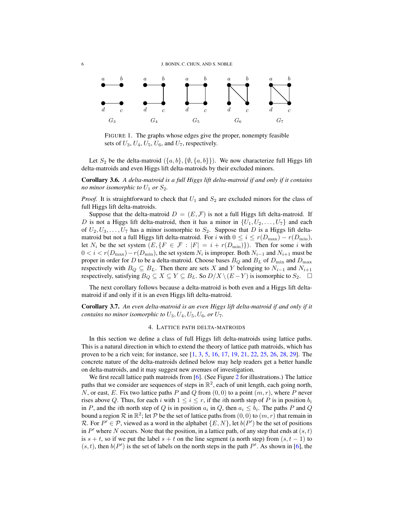

<span id="page-6-1"></span>FIGURE 1. The graphs whose edges give the proper, nonempty feasible sets of  $U_3$ ,  $U_4$ ,  $U_5$ ,  $U_6$ , and  $U_7$ , respectively.

Let  $S_2$  be the delta-matroid  $(\{a, b\}, \{\emptyset, \{a, b\}\})$ . We now characterize full Higgs lift delta-matroids and even Higgs lift delta-matroids by their excluded minors.

Corollary 3.6. *A delta-matroid is a full Higgs lift delta-matroid if and only if it contains no minor isomorphic to*  $U_1$  *or*  $S_2$ *.* 

*Proof.* It is straightforward to check that  $U_1$  and  $S_2$  are excluded minors for the class of full Higgs lift delta-matroids.

Suppose that the delta-matroid  $D = (E, \mathcal{F})$  is not a full Higgs lift delta-matroid. If D is not a Higgs lift delta-matroid, then it has a minor in  $\{U_1, U_2, \ldots, U_7\}$  and each of  $U_2, U_3, \ldots, U_7$  has a minor isomorphic to  $S_2$ . Suppose that D is a Higgs lift deltamatroid but not a full Higgs lift delta-matroid. For i with  $0 \le i \le r(D_{\text{max}}) - r(D_{\text{min}})$ , let  $N_i$  be the set system  $(E, {F \in \mathcal{F} : |F| = i + r(D_{\text{min}})}$ . Then for some i with  $0 < i < r(D_{\text{max}}) - r(D_{\text{min}})$ , the set system  $N_i$  is improper. Both  $N_{i-1}$  and  $N_{i+1}$  must be proper in order for D to be a delta-matroid. Choose bases  $B_Q$  and  $B_L$  of  $D_{\text{min}}$  and  $D_{\text{max}}$ respectively with  $B_Q \subseteq B_L$ . Then there are sets X and Y belonging to  $N_{i-1}$  and  $N_{i+1}$ respectively, satisfying  $B_Q \subseteq X \subseteq Y \subseteq B_L$ . So  $D/X \setminus (E-Y)$  is isomorphic to  $S_2$ . □

The next corollary follows because a delta-matroid is both even and a Higgs lift deltamatroid if and only if it is an even Higgs lift delta-matroid.

Corollary 3.7. *An even delta-matroid is an even Higgs lift delta-matroid if and only if it contains no minor isomorphic to*  $U_3$ ,  $U_4$ ,  $U_5$ ,  $U_6$ , or  $U_7$ .

#### 4. LATTICE PATH DELTA-MATROIDS

<span id="page-6-0"></span>In this section we define a class of full Higgs lift delta-matroids using lattice paths. This is a natural direction in which to extend the theory of lattice path matroids, which has proven to be a rich vein; for instance, see [\[1,](#page-23-10) [3,](#page-23-11) [5,](#page-23-12) [16,](#page-23-13) [17,](#page-23-14) [19,](#page-23-15) [21,](#page-23-16) [22,](#page-23-17) [25,](#page-23-18) [26,](#page-23-19) [28,](#page-23-20) [29\]](#page-23-21). The concrete nature of the delta-matroids defined below may help readers get a better handle on delta-matroids, and it may suggest new avenues of investigation.

We first recall lattice path matroids from [\[6\]](#page-23-22). (See Figure [2](#page-7-0) for illustrations.) The lattice paths that we consider are sequences of steps in  $\mathbb{R}^2$ , each of unit length, each going north, N, or east, E. Fix two lattice paths P and Q from  $(0, 0)$  to a point  $(m, r)$ , where P never rises above Q. Thus, for each i with  $1 \leq i \leq r$ , if the ith north step of P is in position  $b_i$ in P, and the *i*th north step of Q is in position  $a_i$  in Q, then  $a_i \leq b_i$ . The paths P and Q bound a region  $\mathcal R$  in  $\mathbb R^2$ ; let  $\mathcal P$  be the set of lattice paths from  $(0,0)$  to  $(m,r)$  that remain in R. For  $P' \in \mathcal{P}$ , viewed as a word in the alphabet  $\{E, N\}$ , let  $b(P')$  be the set of positions in  $P'$  where N occurs. Note that the position, in a lattice path, of any step that ends at  $(s, t)$ is  $s + t$ , so if we put the label  $s + t$  on the line segment (a north step) from  $(s, t - 1)$  to  $(s, t)$ , then  $b(P')$  is the set of labels on the north steps in the path  $P'$ . As shown in [\[6\]](#page-23-22), the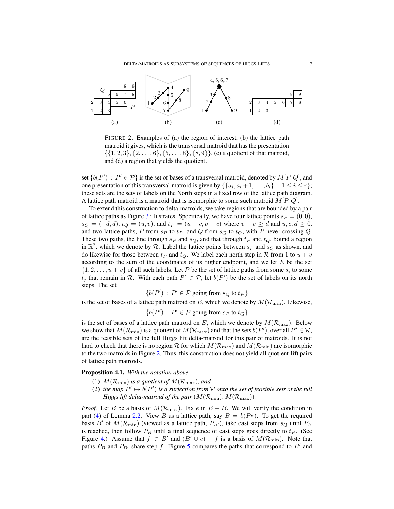<span id="page-7-0"></span>DELTA-MATROIDS AS SUBSYSTEMS OF SEQUENCES OF HIGGS LIFTS  $7$ 



FIGURE 2. Examples of (a) the region of interest, (b) the lattice path matroid it gives, which is the transversal matroid that has the presentation  $\{\{1, 2, 3\}, \{2, \ldots, 6\}, \{5, \ldots, 8\}, \{8, 9\}\},$  (c) a quotient of that matroid, and (d) a region that yields the quotient.

set  $\{b(P') : P' \in \mathcal{P}\}\$ is the set of bases of a transversal matroid, denoted by  $M[P,Q]$ , and one presentation of this transversal matroid is given by  $\{\{a_i, a_i + 1, \ldots, b_i\} : 1 \le i \le r\};$ these sets are the sets of labels on the North steps in a fixed row of the lattice path diagram. A lattice path matroid is a matroid that is isomorphic to some such matroid  $M[P,Q]$ .

To extend this construction to delta-matroids, we take regions that are bounded by a pair of lattice paths as Figure [3](#page-8-0) illustrates. Specifically, we have four lattice points  $s_P = (0, 0)$ ,  $s_Q = (-d, d), t_Q = (u, v)$ , and  $t_P = (u + c, v - c)$  where  $v - c \ge d$  and  $u, c, d \ge 0$ , and two lattice paths, P from  $s_P$  to  $t_P$ , and Q from  $s_Q$  to  $t_Q$ , with P never crossing Q. These two paths, the line through  $s_P$  and  $s_Q$ , and that through  $t_P$  and  $t_Q$ , bound a region in  $\mathbb{R}^2$ , which we denote by R. Label the lattice points between  $s_P$  and  $s_Q$  as shown, and do likewise for those between  $t_P$  and  $t_Q$ . We label each north step in R from 1 to  $u + v$ according to the sum of the coordinates of its higher endpoint, and we let  $E$  be the set  $\{1, 2, \ldots, u + v\}$  of all such labels. Let P be the set of lattice paths from some  $s_i$  to some  $t_j$  that remain in R. With each path  $P' \in \mathcal{P}$ , let  $b(P')$  be the set of labels on its north steps. The set

$$
\{b(P')\,:\,P'\in\mathcal{P}\text{ going from }s_Q\text{ to }t_P\}
$$

is the set of bases of a lattice path matroid on E, which we denote by  $M(\mathcal{R}_{\text{min}})$ . Likewise,

 ${b(P') : P' \in \mathcal{P} \text{ going from } s_P \text{ to } t_Q}$ 

is the set of bases of a lattice path matroid on E, which we denote by  $M(\mathcal{R}_{\text{max}})$ . Below we show that  $M(\mathcal{R}_{\text{min}})$  is a quotient of  $M(\mathcal{R}_{\text{max}})$  and that the sets  $b(P')$ , over all  $P' \in \mathcal{R}$ , are the feasible sets of the full Higgs lift delta-matroid for this pair of matroids. It is not hard to check that there is no region R for which  $M(\mathcal{R}_{\text{max}})$  and  $M(\mathcal{R}_{\text{min}})$  are isomorphic to the two matroids in Figure [2.](#page-7-0) Thus, this construction does not yield all quotient-lift pairs of lattice path matroids.

<span id="page-7-1"></span>Proposition 4.1. *With the notation above,*

- (1)  $M(\mathcal{R}_{\text{min}})$  *is a quotient of*  $M(\mathcal{R}_{\text{max}})$ *, and*
- (2) the map  $P' \mapsto b(P')$  is a surjection from P onto the set of feasible sets of the full *Higgs lift delta-matroid of the pair*  $(M(\mathcal{R}_{\text{min}}), M(\mathcal{R}_{\text{max}}))$ .

*Proof.* Let B be a basis of  $M(\mathcal{R}_{\text{max}})$ . Fix e in  $E - B$ . We will verify the condition in part [\(4\)](#page-4-5) of Lemma [2.2.](#page-4-4) View B as a lattice path, say  $B = b(P_B)$ . To get the required basis B' of  $M(\mathcal{R}_{\text{min}})$  (viewed as a lattice path,  $P_{B}$ ), take east steps from  $s_Q$  until  $P_B$ is reached, then follow  $P_B$  until a final sequence of east steps goes directly to  $t_P$ . (See Figure [4.](#page-8-1)) Assume that  $f \in B'$  and  $(B' \cup e) - f$  is a basis of  $M(\mathcal{R}_{\text{min}})$ . Note that paths  $P_B$  and  $P_{B'}$  share step f. Figure [5](#page-9-0) compares the paths that correspond to B' and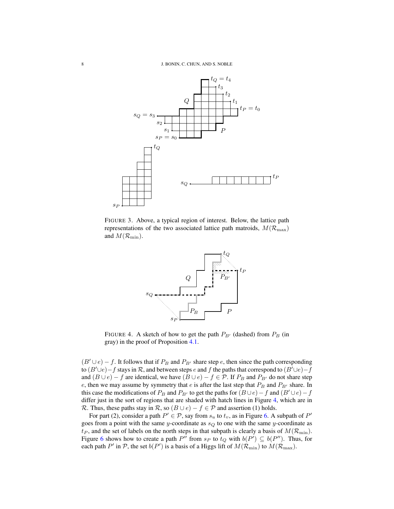

FIGURE 3. Above, a typical region of interest. Below, the lattice path representations of the two associated lattice path matroids,  $M(\mathcal{R}_{\max})$ and  $M(\mathcal{R}_{\text{min}})$ .

<span id="page-8-1"></span><span id="page-8-0"></span>

FIGURE 4. A sketch of how to get the path  $P_{B'}$  (dashed) from  $P_B$  (in gray) in the proof of Proposition [4.1.](#page-7-1)

 $(B' \cup e) - f$ . It follows that if  $P_B$  and  $P_{B'}$  share step e, then since the path corresponding to  $(B' \cup e)-f$  stays in  $\mathcal R$ , and between steps e and f the paths that correspond to  $(B' \cup e)-f$ and  $(B \cup e) - f$  are identical, we have  $(B \cup e) - f \in \mathcal{P}$ . If  $P_B$  and  $P_{B'}$  do not share step e, then we may assume by symmetry that e is after the last step that  $P_B$  and  $P_{B'}$  share. In this case the modifications of  $P_B$  and  $P_{B'}$  to get the paths for  $(B \cup e)-f$  and  $(B' \cup e)-f$ differ just in the sort of regions that are shaded with hatch lines in Figure [4,](#page-8-1) which are in R. Thus, these paths stay in R, so  $(B \cup e) - f \in \mathcal{P}$  and assertion (1) holds.

For part (2), consider a path  $P' \in \mathcal{P}$ , say from  $s_u$  to  $t_v$ , as in Figure [6.](#page-9-1) A subpath of  $P'$ goes from a point with the same y-coordinate as  $s_Q$  to one with the same y-coordinate as  $t_P$ , and the set of labels on the north steps in that subpath is clearly a basis of  $M(\mathcal{R}_{\text{min}})$ . Figure [6](#page-9-1) shows how to create a path P'' from  $s_P$  to  $t_Q$  with  $b(P') \subseteq b(P'')$ . Thus, for each path P' in P, the set  $b(P')$  is a basis of a Higgs lift of  $M(\mathcal{R}_{\text{min}})$  to  $M(\mathcal{R}_{\text{max}})$ .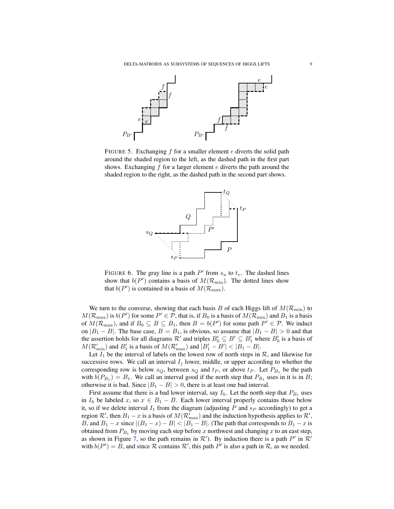

FIGURE 5. Exchanging  $f$  for a smaller element  $e$  diverts the solid path around the shaded region to the left, as the dashed path in the first part shows. Exchanging  $f$  for a larger element  $e$  diverts the path around the shaded region to the right, as the dashed path in the second part shows.

<span id="page-9-1"></span><span id="page-9-0"></span>

FIGURE 6. The gray line is a path  $P'$  from  $s_u$  to  $t_v$ . The dashed lines show that  $b(P')$  contains a basis of  $M(\mathcal{R}_{\text{min}})$ . The dotted lines show that  $b(P')$  is contained in a basis of  $M(\mathcal{R}_{\text{max}})$ .

We turn to the converse, showing that each basis B of each Higgs lift of  $M(\mathcal{R}_{\text{min}})$  to  $M(\mathcal{R}_{\max})$  is  $b(P')$  for some  $P' \in \mathcal{P}$ , that is, if  $B_0$  is a basis of  $M(\mathcal{R}_{\min})$  and  $B_1$  is a basis of  $M(\mathcal{R}_{\text{max}})$ , and if  $B_0 \subseteq B \subseteq B_1$ , then  $B = b(P')$  for some path  $P' \in \mathcal{P}$ . We induct on  $|B_1 - B|$ . The base case,  $B = B_1$ , is obvious, so assume that  $|B_1 - B| > 0$  and that the assertion holds for all diagrams  $\mathcal{R}'$  and triples  $B'_0 \subseteq B' \subseteq B'_1$  where  $B'_0$  is a basis of  $M(\mathcal{R}_{\text{min}}')$  and  $B'_1$  is a basis of  $M(\mathcal{R}_{\text{max}}')$  and  $|B'_1 - B'| < |B_1 - B|$ .

Let  $I_1$  be the interval of labels on the lowest row of north steps in  $\mathcal{R}$ , and likewise for successive rows. We call an interval  $I_j$  lower, middle, or upper according to whether the corresponding row is below  $s_Q$ , between  $s_Q$  and  $t_P$ , or above  $t_P$ . Let  $P_{B_1}$  be the path with  $b(P_{B_1}) = B_1$ . We call an interval good if the north step that  $P_{B_1}$  uses in it is in B; otherwise it is bad. Since  $|B_1 - B| > 0$ , there is at least one bad interval.

First assume that there is a bad lower interval, say  $I_h$ . Let the north step that  $P_{B_1}$  uses in  $I_h$  be labeled x, so  $x \in B_1 - B$ . Each lower interval properly contains those below it, so if we delete interval  $I_1$  from the diagram (adjusting P and  $s_P$  accordingly) to get a region  $\mathcal{R}'$ , then  $B_1 - x$  is a basis of  $M(\mathcal{R}_{\max}')$  and the induction hypothesis applies to  $\mathcal{R}'$ , B, and  $B_1 - x$  since  $|(B_1 - x) - B| < |B_1 - B|$ . (The path that corresponds to  $B_1 - x$  is obtained from  $P_{B_1}$  by moving each step before x northwest and changing x to an east step, as shown in Figure [7,](#page-10-0) so the path remains in  $\mathcal{R}'$ ). By induction there is a path  $P'$  in  $\mathcal{R}'$ with  $b(P') = B$ , and since R contains R', this path P' is also a path in R, as we needed.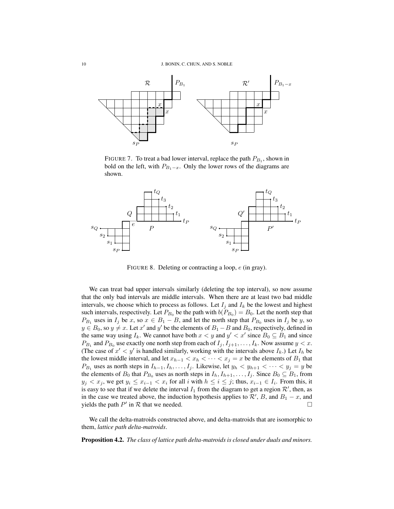

<span id="page-10-0"></span>FIGURE 7. To treat a bad lower interval, replace the path  $P_{B_1}$ , shown in bold on the left, with  $P_{B_1-x}$ . Only the lower rows of the diagrams are shown.



<span id="page-10-1"></span>FIGURE 8. Deleting or contracting a loop,  $e$  (in gray).

We can treat bad upper intervals similarly (deleting the top interval), so now assume that the only bad intervals are middle intervals. When there are at least two bad middle intervals, we choose which to process as follows. Let  $I_i$  and  $I_k$  be the lowest and highest such intervals, respectively. Let  $P_{B_0}$  be the path with  $b(P_{B_0}) = B_0$ . Let the north step that  $P_{B_1}$  uses in  $I_j$  be x, so  $x \in B_1 - B$ , and let the north step that  $P_{B_0}$  uses in  $I_j$  be y, so  $y \in B_0$ , so  $y \neq x$ . Let  $x'$  and  $y'$  be the elements of  $B_1 - B$  and  $B_0$ , respectively, defined in the same way using  $I_k$ . We cannot have both  $x < y$  and  $y' < x'$  since  $B_0 \subseteq B_1$  and since  $P_{B_1}$  and  $P_{B_0}$  use exactly one north step from each of  $I_j, I_{j+1}, \ldots, I_k$ . Now assume  $y < x$ . (The case of  $x' < y'$  is handled similarly, working with the intervals above  $I_k$ .) Let  $I_h$  be the lowest middle interval, and let  $x_{h-1} < x_h < \cdots < x_j = x$  be the elements of  $B_1$  that  $P_{B_1}$  uses as north steps in  $I_{h-1}, I_h, \ldots, I_j$ . Likewise, let  $y_h < y_{h+1} < \cdots < y_j = y$  be the elements of  $B_0$  that  $P_{B_0}$  uses as north steps in  $I_h, I_{h+1}, \ldots, I_j$ . Since  $B_0 \subseteq B_1$ , from  $y_j < x_j$ , we get  $y_i \le x_{i-1} < x_i$  for all i with  $h \le i \le j$ ; thus,  $x_{i-1} \in I_i$ . From this, it is easy to see that if we delete the interval  $I_1$  from the diagram to get a region  $\mathcal{R}'$ , then, as in the case we treated above, the induction hypothesis applies to  $\mathcal{R}'$ , B, and  $B_1 - x$ , and yields the path  $P'$  in  $R$  that we needed.

We call the delta-matroids constructed above, and delta-matroids that are isomorphic to them, *lattice path delta-matroids*.

Proposition 4.2. *The class of lattice path delta-matroids is closed under duals and minors.*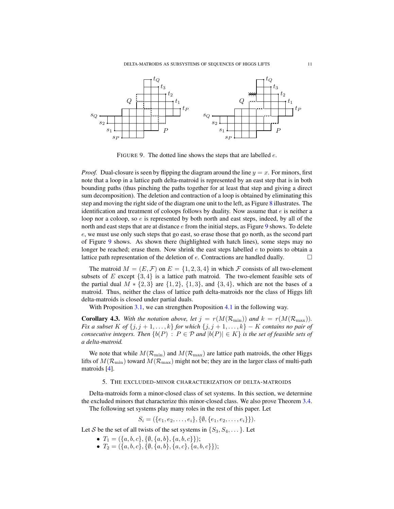DELTA-MATROIDS AS SUBSYSTEMS OF SEQUENCES OF HIGGS LIFTS 11



<span id="page-11-1"></span>FIGURE 9. The dotted line shows the steps that are labelled  $e$ .

*Proof.* Dual-closure is seen by flipping the diagram around the line  $y = x$ . For minors, first note that a loop in a lattice path delta-matroid is represented by an east step that is in both bounding paths (thus pinching the paths together for at least that step and giving a direct sum decomposition). The deletion and contraction of a loop is obtained by eliminating this step and moving the right side of the diagram one unit to the left, as Figure [8](#page-10-1) illustrates. The identification and treatment of coloops follows by duality. Now assume that  $e$  is neither a loop nor a coloop, so e is represented by both north and east steps, indeed, by all of the north and east steps that are at distance  $e$  from the initial steps, as Figure [9](#page-11-1) shows. To delete e, we must use only such steps that go east, so erase those that go north, as the second part of Figure [9](#page-11-1) shows. As shown there (highlighted with hatch lines), some steps may no longer be reached; erase them. Now shrink the east steps labelled  $e$  to points to obtain a lattice path representation of the deletion of  $e$ . Contractions are handled dually.

The matroid  $M = (E, \mathcal{F})$  on  $E = \{1, 2, 3, 4\}$  in which  $\mathcal F$  consists of all two-element subsets of E except  $\{3, 4\}$  is a lattice path matroid. The two-element feasible sets of the partial dual  $M * \{2,3\}$  are  $\{1,2\}$ ,  $\{1,3\}$ , and  $\{3,4\}$ , which are not the bases of a matroid. Thus, neither the class of lattice path delta-matroids nor the class of Higgs lift delta-matroids is closed under partial duals.

With Proposition [3.1,](#page-4-1) we can strengthen Proposition [4.1](#page-7-1) in the following way.

**Corollary 4.3.** With the notation above, let  $j = r(M(\mathcal{R}_{\text{min}}))$  and  $k = r(M(\mathcal{R}_{\text{max}}))$ . *Fix a subset* K of  $\{j, j + 1, \ldots, k\}$  *for which*  $\{j, j + 1, \ldots, k\}$  – K *contains no pair of consecutive integers. Then*  ${b(P) : P \in \mathcal{P} \text{ and } |b(P)| \in K}$  *is the set of feasible sets of a delta-matroid.*

We note that while  $M(\mathcal{R}_{\text{min}})$  and  $M(\mathcal{R}_{\text{max}})$  are lattice path matroids, the other Higgs lifts of  $M(\mathcal{R}_{\text{min}})$  toward  $M(\mathcal{R}_{\text{max}})$  might not be; they are in the larger class of multi-path matroids [\[4\]](#page-23-23).

# 5. THE EXCLUDED-MINOR CHARACTERIZATION OF DELTA-MATROIDS

<span id="page-11-0"></span>Delta-matroids form a minor-closed class of set systems. In this section, we determine the excluded minors that characterize this minor-closed class. We also prove Theorem [3.4.](#page-5-0) The following set systems play many roles in the rest of this paper. Let

$$
S_i = (\{e_1, e_2, \ldots, e_i\}, \{\emptyset, \{e_1, e_2, \ldots, e_i\}\}).
$$

Let S be the set of all twists of the set systems in  $\{S_3, S_4, \dots\}$ . Let

- $T_1 = (\{a, b, c\}, \{\emptyset, \{a, b\}, \{a, b, c\}\});$
- $T_2 = (\{a, b, c\}, \{\emptyset, \{a, b\}, \{a, c\}, \{a, b, c\}\});$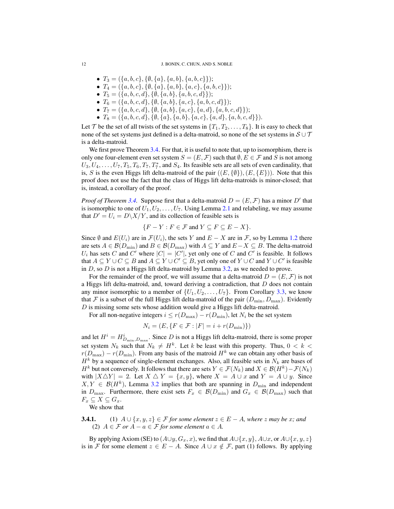- $T_3 = (\{a, b, c\}, \{\emptyset, \{a\}, \{a, b\}, \{a, b, c\}\});$
- $T_4 = (\{a, b, c\}, \{\emptyset, \{a\}, \{a, b\}, \{a, c\}, \{a, b, c\}\});$
- $T_5 = (\{a, b, c, d\}, \{\emptyset, \{a, b\}, \{a, b, c, d\}\});$
- $T_6 = (\{a, b, c, d\}, \{\emptyset, \{a, b\}, \{a, c\}, \{a, b, c, d\}\});$
- $T_7 = (\{a, b, c, d\}, \{\emptyset, \{a, b\}, \{a, c\}, \{a, d\}, \{a, b, c, d\}\});$
- $T_8 = (\{a, b, c, d\}, \{\emptyset, \{a\}, \{a, b\}, \{a, c\}, \{a, d\}, \{a, b, c, d\}\}).$

Let T be the set of all twists of the set systems in  $\{T_1, T_2, \ldots, T_8\}$ . It is easy to check that none of the set systems just defined is a delta-matroid, so none of the set systems in  $S \cup T$ is a delta-matroid.

We first prove Theorem [3.4.](#page-5-0) For that, it is useful to note that, up to isomorphism, there is only one four-element even set system  $S = (E, \mathcal{F})$  such that  $\emptyset, E \in \mathcal{F}$  and S is not among  $U_3, U_4, \ldots, U_7, T_5, T_6, T_7, T_7^*$ , and  $S_4$ . Its feasible sets are all sets of even cardinality, that is, S is the even Higgs lift delta-matroid of the pair  $((E, \{\emptyset\}), (E, \{E\}))$ . Note that this proof does not use the fact that the class of Higgs lift delta-matroids is minor-closed; that is, instead, a corollary of the proof.

*Proof of Theorem [3.4.](#page-5-0)* Suppose first that a delta-matroid  $D = (E, \mathcal{F})$  has a minor D' that is isomorphic to one of  $U_1, U_2, \ldots, U_7$ . Using Lemma [2.1](#page-3-1) and relabeling, we may assume that  $D' = U_i = D\backslash X/Y$ , and its collection of feasible sets is

$$
\{F - Y : F \in \mathcal{F} \text{ and } Y \subseteq F \subseteq E - X\}.
$$

Since  $\emptyset$  and  $E(U_i)$  are in  $\mathcal{F}(U_i)$ , the sets Y and  $E - X$  are in  $\mathcal{F}$ , so by Lemma [1.2](#page-2-0) there are sets  $A \in \mathcal{B}(D_{\min})$  and  $B \in \mathcal{B}(D_{\max})$  with  $A \subseteq Y$  and  $E-X \subseteq B$ . The delta-matroid  $U_i$  has sets C and C' where  $|C| = |C'|$ , yet only one of C and C' is feasible. It follows that  $A \subseteq Y \cup C \subseteq B$  and  $A \subseteq Y \cup C' \subseteq B$ , yet only one of  $Y \cup C$  and  $Y \cup C'$  is feasible in  $D$ , so  $D$  is not a Higgs lift delta-matroid by Lemma [3.2,](#page-5-1) as we needed to prove.

For the remainder of the proof, we will assume that a delta-matroid  $D = (E, \mathcal{F})$  is not a Higgs lift delta-matroid, and, toward deriving a contradiction, that  $D$  does not contain any minor isomorphic to a member of  $\{U_1, U_2, \ldots, U_7\}$ . From Corollary [3.3,](#page-5-2) we know that F is a subset of the full Higgs lift delta-matroid of the pair  $(D_{\min}, D_{\max})$ . Evidently D is missing some sets whose addition would give a Higgs lift delta-matroid.

For all non-negative integers  $i \le r(D_{\text{max}}) - r(D_{\text{min}})$ , let  $N_i$  be the set system

$$
N_i = (E, \{ F \in \mathcal{F} : |F| = i + r(D_{\min}) \})
$$

and let  $H^i = H^i_{D_{\min},D_{\max}}$ . Since D is not a Higgs lift delta-matroid, there is some proper set system  $N_k$  such that  $N_k \neq H^k$ . Let k be least with this property. Thus,  $0 < k <$  $r(D_{\text{max}}) - r(D_{\text{min}})$ . From any basis of the matroid  $H^k$  we can obtain any other basis of  $H<sup>k</sup>$  by a sequence of single-element exchanges. Also, all feasible sets in  $N<sub>k</sub>$  are bases of  $H^k$  but not conversely. It follows that there are sets  $Y \in \mathcal{F}(N_k)$  and  $X \in \mathcal{B}(H^k) - \mathcal{F}(N_k)$ with  $|X \triangle Y| = 2$ . Let  $X \triangle Y = \{x, y\}$ , where  $X = A \cup x$  and  $Y = A \cup y$ . Since  $X, Y \in \mathcal{B}(H^k)$ , Lemma [3.2](#page-5-1) implies that both are spanning in  $D_{\min}$  and independent in  $D_{\text{max}}$ . Furthermore, there exist sets  $F_x \in \mathcal{B}(D_{\text{min}})$  and  $G_x \in \mathcal{B}(D_{\text{max}})$  such that  $F_x \subseteq X \subseteq G_x$ .

We show that

**3.4.1.** (1)  $A \cup \{x, y, z\} \in \mathcal{F}$  *for some element*  $z \in E - A$ *, where* z *may be* x*; and* (2)  $A \in \mathcal{F}$  *or*  $A - a \in \mathcal{F}$  *for some element*  $a \in A$ *.* 

By applying Axiom (SE) to  $(A \cup y, G_x, x)$ , we find that  $A \cup \{x, y\}$ ,  $A \cup x$ , or  $A \cup \{x, y, z\}$ is in F for some element  $z \in E - A$ . Since  $A \cup x \notin F$ , part (1) follows. By applying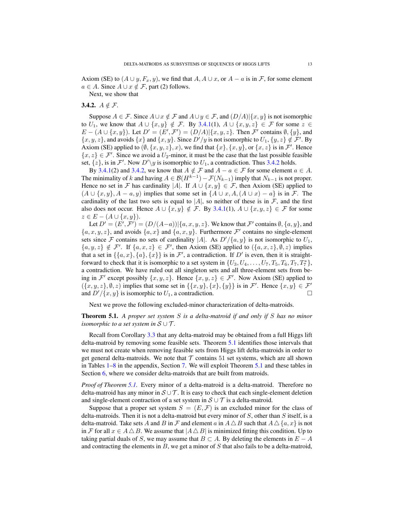Axiom (SE) to  $(A \cup y, F_x, y)$ , we find that  $A, A \cup x$ , or  $A - a$  is in F, for some element  $a \in A$ . Since  $A \cup x \notin \mathcal{F}$ , part (2) follows.

Next, we show that

# <span id="page-13-1"></span>3.4.2.  $A \notin \mathcal{F}$ .

Suppose  $A \in \mathcal{F}$ . Since  $A \cup x \notin \mathcal{F}$  and  $A \cup y \in \mathcal{F}$ , and  $(D/A)|\{x, y\}$  is not isomorphic to  $U_1$ , we know that  $A \cup \{x, y\} \notin \mathcal{F}$ . By [3.4.1\(](#page-1-0)1),  $A \cup \{x, y, z\} \in \mathcal{F}$  for some  $z \in \mathcal{F}$  $E - (A \cup \{x, y\})$ . Let  $D' = (E', \mathcal{F}') = (D/A) | \{x, y, z\}$ . Then  $\mathcal{F}'$  contains  $\emptyset, \{y\}$ , and  $\{x, y, z\}$ , and avoids  $\{x\}$  and  $\{x, y\}$ . Since  $D'/y$  is not isomorphic to  $U_1$ ,  $\{y, z\} \notin \mathcal{F}'$ . By Axiom (SE) applied to  $(\emptyset, \{x, y, z\}, x)$ , we find that  $\{x\}, \{x, y\}$ , or  $\{x, z\}$  is in  $\mathcal{F}'$ . Hence  ${x, z} \in \mathcal{F}'$ . Since we avoid a  $U_2$ -minor, it must be the case that the last possible feasible set,  $\{z\}$ , is in F'. Now  $D'\y$  is isomorphic to  $U_1$ , a contradiction. Thus [3.4.2](#page-13-1) holds.

By [3.4.1\(](#page-1-0)2) and [3.4.2,](#page-13-1) we know that  $A \notin \mathcal{F}$  and  $A - a \in \mathcal{F}$  for some element  $a \in A$ . The minimality of k and having  $A \in \mathcal{B}(H^{k-1}) - \mathcal{F}(N_{k-1})$  imply that  $N_{k-1}$  is not proper. Hence no set in F has cardinality |A|. If  $A \cup \{x, y\} \in \mathcal{F}$ , then Axiom (SE) applied to  $(A \cup \{x, y\}, A - a, y)$  implies that some set in  $\{A \cup x, A, (A \cup x) - a\}$  is in F. The cardinality of the last two sets is equal to  $|A|$ , so neither of these is in F, and the first also does not occur. Hence  $A \cup \{x, y\} \notin \mathcal{F}$ . By [3.4.1\(](#page-1-0)1),  $A \cup \{x, y, z\} \in \mathcal{F}$  for some  $z \in E - (A \cup \{x, y\}).$ 

Let  $D' = (E', \mathcal{F}') = (D/(A-a)) | \{a, x, y, z\}$ . We know that  $\mathcal{F}'$  contains  $\emptyset, \{a, y\}$ , and  $\{a, x, y, z\}$ , and avoids  $\{a, x\}$  and  $\{a, x, y\}$ . Furthermore  $\mathcal{F}'$  contains no single-element sets since F contains no sets of cardinality |A|. As  $D'/\{a, y\}$  is not isomorphic to  $U_1$ ,  $\{a, y, z\} \notin \mathcal{F}'$ . If  $\{a, x, z\} \in \mathcal{F}'$ , then Axiom (SE) applied to  $(\{a, x, z\}, \emptyset, z)$  implies that a set in  $\{\{a, x\}, \{a\}, \{x\}\}\$ is in  $\mathcal{F}'$ , a contradiction. If  $D'$  is even, then it is straightforward to check that it is isomorphic to a set system in  $\{U_3, U_4, \ldots, U_7, T_5, T_6, T_7, T_7^*\},$ a contradiction. We have ruled out all singleton sets and all three-element sets from being in  $\mathcal{F}'$  except possibly  $\{x, y, z\}$ . Hence  $\{x, y, z\} \in \mathcal{F}'$ . Now Axiom (SE) applied to  $(\{x, y, z\}, \emptyset, z)$  implies that some set in  $\{\{x, y\}, \{x\}, \{y\}\}\$ is in  $\mathcal{F}'$ . Hence  $\{x, y\} \in \mathcal{F}'$ and  $D'/\{x, y\}$  is isomorphic to  $U_1$ , a contradiction.

Next we prove the following excluded-minor characterization of delta-matroids.

# <span id="page-13-0"></span>Theorem 5.1. *A proper set system* S *is a delta-matroid if and only if* S *has no minor isomorphic to a set system in*  $S \cup T$ .

Recall from Corollary [3.3](#page-5-2) that any delta-matroid may be obtained from a full Higgs lift delta-matroid by removing some feasible sets. Theorem [5.1](#page-13-0) identifies those intervals that we must not create when removing feasible sets from Higgs lift delta-matroids in order to get general delta-matroids. We note that  $\mathcal T$  contains 51 set systems, which are all shown in Tables [1](#page-20-0)[–8](#page-22-0) in the appendix, Section [7.](#page-20-1) We will exploit Theorem [5.1](#page-13-0) and these tables in Section [6,](#page-16-0) where we consider delta-matroids that are built from matroids.

*Proof of Theorem [5.1.](#page-13-0)* Every minor of a delta-matroid is a delta-matroid. Therefore no delta-matroid has any minor in  $S \cup T$ . It is easy to check that each single-element deletion and single-element contraction of a set system in  $S \cup T$  is a delta-matroid.

Suppose that a proper set system  $S = (E, \mathcal{F})$  is an excluded minor for the class of delta-matroids. Then it is not a delta-matroid but every minor of  $S$ , other than  $S$  itself, is a delta-matroid. Take sets A and B in F and element a in  $A \triangle B$  such that  $A \triangle \{a, x\}$  is not in F for all  $x \in A \triangle B$ . We assume that  $|A \triangle B|$  is minimized fitting this condition. Up to taking partial duals of S, we may assume that  $B \subset A$ . By deleting the elements in  $E - A$ and contracting the elements in  $B$ , we get a minor of  $S$  that also fails to be a delta-matroid,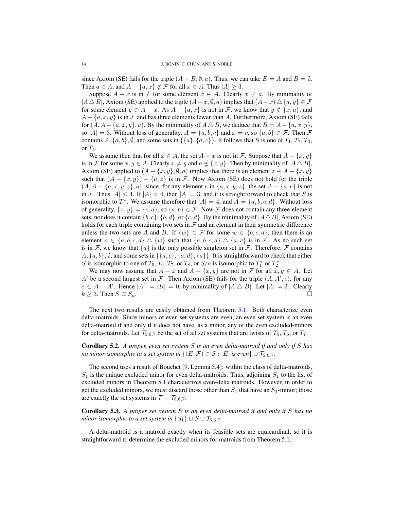since Axiom (SE) fails for the triple  $(A - B, \emptyset, a)$ . Thus, we can take  $E = A$  and  $B = \emptyset$ . Then  $a \in A$ , and  $A - \{a, x\} \notin \mathcal{F}$  for all  $x \in A$ . Thus  $|A| \geq 3$ .

Suppose  $A - x$  is in F for some element  $x \in A$ . Clearly  $x \neq a$ . By minimality of  $|A \triangle B|$ , Axiom (SE) applied to the triple  $(A-x, \emptyset, a)$  implies that  $(A-x) \triangle \{a, y\} \in \mathcal{F}$ for some element  $y \in A - x$ . As  $A - \{a, x\}$  is not in F, we know that  $y \notin \{x, a\}$ , and  $A - \{a, x, y\}$  is in F and has three elements fewer than A. Furthermore, Axiom (SE) fails for  $(A, A - \{a, x, y\}, a)$ . By the minimality of  $A \triangle B$ , we deduce that  $B = A - \{a, x, y\}$ , so  $|A| = 3$ . Without loss of generality,  $A = \{a, b, c\}$  and  $x = c$ , so  $\{a, b\} \in \mathcal{F}$ . Then  $\mathcal F$ contains  $A, \{a, b\}, \emptyset$ , and some sets in  $\{\{a\}, \{a, c\}\}\$ . It follows that S is one of  $T_1, T_2, T_3$ , or  $T_4$ .

We assume then that for all  $x \in A$ , the set  $A - x$  is not in F. Suppose that  $A - \{x, y\}$ is in F for some  $x, y \in A$ . Clearly  $x \neq y$  and  $a \notin \{x, y\}$ . Then by minimality of  $|A \triangle B|$ , Axiom (SE) applied to  $(A - \{x, y\}, \emptyset, a)$  implies that there is an element  $z \in A - \{x, y\}$ such that  $(A - \{x, y\}) - \{a, z\}$  is in F. Now Axiom (SE) does not hold for the triple  $(A, A - \{a, x, y, z\}, a)$ , since, for any element e in  $\{a, x, y, z\}$ , the set  $A - \{a, e\}$  is not in F. Thus  $|A| \leq 4$ . If  $|A| < 4$ , then  $|A| = 3$ , and it is straightforward to check that S is isomorphic to  $T_1^*$ . We assume therefore that  $|A| = 4$ , and  $A = \{a, b, c, d\}$ . Without loss of generality,  $\{x, y\} = \{c, d\}$ , so  $\{a, b\} \in \mathcal{F}$ . Now  $\mathcal F$  does not contain any three-element sets, nor does it contain  $\{b, c\}, \{b, d\},$  or  $\{c, d\}.$  By the minimality of  $|A \triangle B|$ , Axiom (SE) holds for each triple containing two sets in  $\mathcal F$  and an element in their symmetric difference unless the two sets are A and B. If  $\{w\} \in \mathcal{F}$  for some  $w \in \{b, c, d\}$ , then there is an element  $v \in \{a, b, c, d\} \triangle \{w\}$  such that  $\{a, b, c, d\} \triangle \{a, v\}$  is in F. As no such set is in F, we know that  $\{a\}$  is the only possible singleton set in F. Therefore, F contains  $A, \{a, b\}, \emptyset$ , and some sets in  $\{\{a, c\}, \{a, d\}, \{a\}\}\$ . It is straightforward to check that either S is isomorphic to one of  $T_5, T_6, T_7$ , or  $T_8$ , or  $S/a$  is isomorphic to  $T_1^*$  or  $T_2^*$ .

We may now assume that  $A - x$  and  $A - \{x, y\}$  are not in F for all  $x, y \in A$ . Let A' be a second largest set in F. Then Axiom (SE) fails for the triple  $(A, A', e)$ , for any  $e \in A - A'$ . Hence  $|A'| = |B| = 0$ , by minimality of  $|A \triangle B|$ . Let  $|A| = k$ . Clearly  $k \geq 3$ . Then  $S \cong S_k$ .

The next two results are easily obtained from Theorem [5.1.](#page-13-0) Both characterize even delta-matroids. Since minors of even set systems are even, an even set system is an even delta-matroid if and only if it does not have, as a minor, any of the even excluded-minors for delta-matroids. Let  $\mathcal{T}_{5,6,7}$  be the set of all set systems that are twists of  $T_5$ ,  $T_6$ , or  $T_7$ .

Corollary 5.2. *A proper, even set system* S *is an even delta-matroid if and only if* S *has no minor isomorphic to a set system in*  $\{(E, \mathcal{F}) \in \mathcal{S} : |E| \text{ is even}\} \cup \mathcal{T}_{5.6.7}$ .

The second uses a result of Bouchet [\[9,](#page-23-24) Lemma 5.4]: within the class of delta-matroids,  $S_1$  is the unique excluded minor for even delta-matroids. Thus, adjoining  $S_1$  to the list of excluded minors in Theorem [5.1](#page-13-0) characterizes even-delta matroids. However, in order to get the excluded minors, we must discard those other than  $S_1$  that have an  $S_1$ -minor; those are exactly the set systems in  $\mathcal{T} - \mathcal{T}_{5,6,7}$ .

Corollary 5.3. *A proper set system* S *is an even delta-matroid if and only if* S *has no minor isomorphic to a set system in*  $\{S_1\} \cup S \cup \mathcal{T}_{5,6,7}$ *.* 

A delta-matroid is a matroid exactly when its feasible sets are equicardinal, so it is straightforward to determine the excluded minors for matroids from Theorem [5.1.](#page-13-0)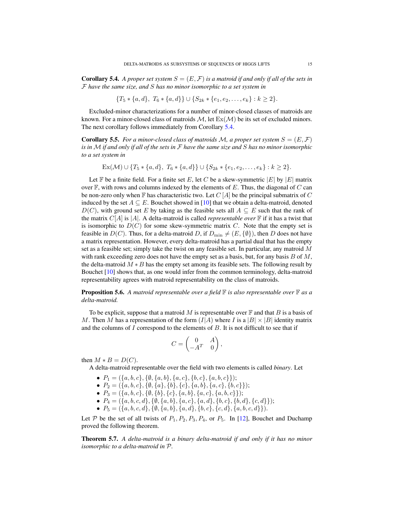<span id="page-15-0"></span>**Corollary 5.4.** A proper set system  $S = (E, \mathcal{F})$  is a matroid if and only if all of the sets in F *have the same size, and* S *has no minor isomorphic to a set system in*

$$
\{T_5 * \{a,d\}, T_6 * \{a,d\}\} \cup \{S_{2k} * \{e_1,e_2,\ldots,e_k\} : k \geq 2\}.
$$

Excluded-minor characterizations for a number of minor-closed classes of matroids are known. For a minor-closed class of matroids  $M$ , let  $Ex(M)$  be its set of excluded minors. The next corollary follows immediately from Corollary [5.4.](#page-15-0)

**Corollary 5.5.** For a minor-closed class of matroids M, a proper set system  $S = (E, \mathcal{F})$ *is in* M *if and only if all of the sets in* F *have the same size and* S *has no minor isomorphic to a set system in*

 $\text{Ex}(\mathcal{M}) \cup \{T_5 * \{a, d\}, T_6 * \{a, d\}\} \cup \{S_{2k} * \{e_1, e_2, \ldots, e_k\} : k \geq 2\}.$ 

Let  $\mathbb F$  be a finite field. For a finite set E, let C be a skew-symmetric  $|E|$  by  $|E|$  matrix over  $\mathbb F$ , with rows and columns indexed by the elements of E. Thus, the diagonal of C can be non-zero only when  $\mathbb F$  has characteristic two. Let  $C[A]$  be the principal submatrix of  $C$ induced by the set  $A \subseteq E$ . Bouchet showed in [\[10\]](#page-23-25) that we obtain a delta-matroid, denoted  $D(C)$ , with ground set E by taking as the feasible sets all  $A \subseteq E$  such that the rank of the matrix  $C[A]$  is  $|A|$ . A delta-matroid is called *representable over*  $\mathbb F$  if it has a twist that is isomorphic to  $D(C)$  for some skew-symmetric matrix C. Note that the empty set is feasible in  $D(C)$ . Thus, for a delta-matroid D, if  $D_{\min} \neq (E, \{\emptyset\})$ , then D does not have a matrix representation. However, every delta-matroid has a partial dual that has the empty set as a feasible set; simply take the twist on any feasible set. In particular, any matroid  $M$ with rank exceeding zero does not have the empty set as a basis, but, for any basis  $B$  of  $M$ , the delta-matroid  $M * B$  has the empty set among its feasible sets. The following result by Bouchet [\[10\]](#page-23-25) shows that, as one would infer from the common terminology, delta-matroid representability agrees with matroid representability on the class of matroids.

Proposition 5.6. *A matroid representable over a field* F *is also representable over* F *as a delta-matroid.*

To be explicit, suppose that a matroid M is representable over  $\mathbb F$  and that B is a basis of M. Then M has a representation of the form  $(I|A)$  where I is a  $|B| \times |B|$  identity matrix and the columns of  $I$  correspond to the elements of  $B$ . It is not difficult to see that if

$$
C = \begin{pmatrix} 0 & A \\ -A^T & 0 \end{pmatrix},
$$

then  $M * B = D(C)$ .

A delta-matroid representable over the field with two elements is called *binary*. Let

- $P_1 = (\{a, b, c\}, \{\emptyset, \{a, b\}, \{a, c\}, \{b, c\}, \{a, b, c\})$ ;
- $P_2 = (\{a, b, c\}, \{\emptyset, \{a\}, \{b\}, \{c\}, \{a, b\}, \{a, c\}, \{b, c\})$ ;
- $P_3 = (\{a, b, c\}, \{\emptyset, \{b\}, \{c\}, \{a, b\}, \{a, c\}, \{a, b, c\}\});$
- $P_4 = (\{a, b, c, d\}, \{\emptyset, \{a, b\}, \{a, c\}, \{a, d\}, \{b, c\}, \{b, d\}, \{c, d\}\});$
- $P_5 = (\{a, b, c, d\}, \{\emptyset, \{a, b\}, \{a, d\}, \{b, c\}, \{c, d\}, \{a, b, c, d\}\}).$

Let P be the set of all twists of  $P_1$ ,  $P_2$ ,  $P_3$ ,  $P_4$ , or  $P_5$ . In [\[12\]](#page-23-4), Bouchet and Duchamp proved the following theorem.

Theorem 5.7. *A delta-matroid is a binary delta-matroid if and only if it has no minor isomorphic to a delta-matroid in* P*.*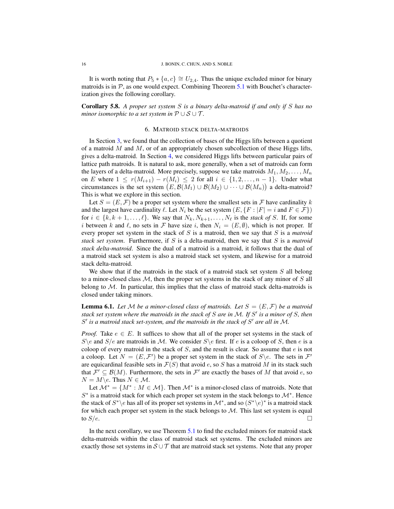It is worth noting that  $P_5 * \{a, c\} \cong U_{2,4}$ . Thus the unique excluded minor for binary matroids is in  $P$ , as one would expect. Combining Theorem [5.1](#page-13-0) with Bouchet's characterization gives the following corollary.

Corollary 5.8. *A proper set system* S *is a binary delta-matroid if and only if* S *has no minor isomorphic to a set system in*  $P \cup S \cup T$ .

### 6. MATROID STACK DELTA-MATROIDS

<span id="page-16-0"></span>In Section [3,](#page-4-0) we found that the collection of bases of the Higgs lifts between a quotient of a matroid  $M$  and  $M$ , or of an appropriately chosen subcollection of these Higgs lifts, gives a delta-matroid. In Section [4,](#page-6-0) we considered Higgs lifts between particular pairs of lattice path matroids. It is natural to ask, more generally, when a set of matroids can form the layers of a delta-matroid. More precisely, suppose we take matroids  $M_1, M_2, \ldots, M_n$ on E where  $1 \leq r(M_{i+1}) - r(M_i) \leq 2$  for all  $i \in \{1, 2, \ldots, n-1\}$ . Under what circumstances is the set system  $(E, \mathcal{B}(M_1) \cup \mathcal{B}(M_2) \cup \cdots \cup \mathcal{B}(M_n))$  a delta-matroid? This is what we explore in this section.

Let  $S = (E, \mathcal{F})$  be a proper set system where the smallest sets in  $\mathcal{F}$  have cardinality k and the largest have cardinality  $\ell$ . Let  $N_i$  be the set system  $(E, \{F : |F| = i \text{ and } F \in \mathcal{F}\})$ for  $i \in \{k, k+1, \ldots, \ell\}$ . We say that  $N_k, N_{k+1}, \ldots, N_\ell$  is the *stack of* S. If, for some i between k and  $\ell$ , no sets in F have size i, then  $N_i = (E, \emptyset)$ , which is not proper. If every proper set system in the stack of S is a matroid, then we say that S is a *matroid stack set system*. Furthermore, if S is a delta-matroid, then we say that S is a *matroid stack delta-matroid*. Since the dual of a matroid is a matroid, it follows that the dual of a matroid stack set system is also a matroid stack set system, and likewise for a matroid stack delta-matroid.

We show that if the matroids in the stack of a matroid stack set system  $S$  all belong to a minor-closed class  $M$ , then the proper set systems in the stack of any minor of  $S$  all belong to  $M$ . In particular, this implies that the class of matroid stack delta-matroids is closed under taking minors.

<span id="page-16-1"></span>**Lemma 6.1.** Let M be a minor-closed class of matroids. Let  $S = (E, \mathcal{F})$  be a matroid *stack set system where the matroids in the stack of* S *are in* M*. If* S 0 *is a minor of* S*, then* S' is a matroid stack set-system, and the matroids in the stack of S' are all in M.

*Proof.* Take  $e \in E$ . It suffices to show that all of the proper set systems in the stack of  $S\$ e and  $S/e$  are matroids in M. We consider  $S\$ e first. If e is a coloop of S, then e is a coloop of every matroid in the stack of  $S$ , and the result is clear. So assume that  $e$  is not a coloop. Let  $N = (E, \mathcal{F}')$  be a proper set system in the stack of  $S \backslash e$ . The sets in  $\mathcal{F}'$ are equicardinal feasible sets in  $\mathcal{F}(S)$  that avoid e, so S has a matroid M in its stack such that  $\mathcal{F}' \subseteq \mathcal{B}(M)$ . Furthermore, the sets in  $\mathcal{F}'$  are exactly the bases of M that avoid e, so  $N = M \backslash e$ . Thus  $N \in \mathcal{M}$ .

Let  $\mathcal{M}^* = \{M^* : M \in \mathcal{M}\}\.$  Then  $\mathcal{M}^*$  is a minor-closed class of matroids. Note that  $S^*$  is a matroid stack for which each proper set system in the stack belongs to  $\mathcal{M}^*$ . Hence the stack of  $S^* \backslash e$  has all of its proper set systems in  $\mathcal{M}^*$ , and so  $(S^* \backslash e)^*$  is a matroid stack for which each proper set system in the stack belongs to  $M$ . This last set system is equal to  $S/e$ .

In the next corollary, we use Theorem [5.1](#page-13-0) to find the excluded minors for matroid stack delta-matroids within the class of matroid stack set systems. The excluded minors are exactly those set systems in  $\mathcal{S} \cup \mathcal{T}$  that are matroid stack set systems. Note that any proper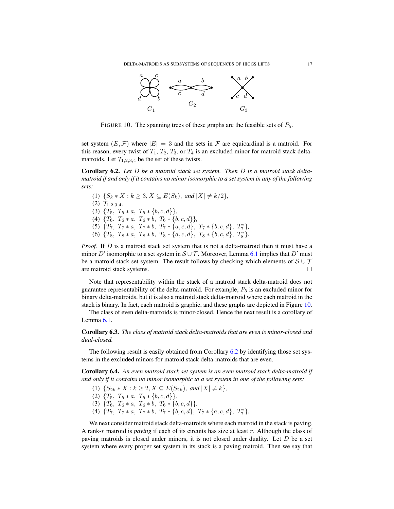<span id="page-17-0"></span>

FIGURE 10. The spanning trees of these graphs are the feasible sets of  $P_5$ .

set system  $(E, \mathcal{F})$  where  $|E| = 3$  and the sets in  $\mathcal F$  are equicardinal is a matroid. For this reason, every twist of  $T_1$ ,  $T_2$ ,  $T_3$ , or  $T_4$  is an excluded minor for matroid stack deltamatroids. Let  $\mathcal{T}_{1,2,3,4}$  be the set of these twists.

<span id="page-17-1"></span>Corollary 6.2. *Let* D *be a matroid stack set system. Then* D *is a matroid stack deltamatroid if and only if it contains no minor isomorphic to a set system in any of the following sets:*

\n- (1) 
$$
\{S_k * X : k \geq 3, X \subseteq E(S_k), \text{ and } |X| \neq k/2\}
$$
\n- (2)  $\mathcal{T}_{1,2,3,4}$
\n- (3)  $\{T_5, T_5 * a, T_5 * \{b, c, d\}\}$
\n- (4)  $\{T_6, T_6 * a, T_6 * b, T_6 * \{b, c, d\}\}$
\n- (5)  $\{T_7, T_7 * a, T_7 * b, T_7 * \{a, c, d\}, T_7 * \{b, c, d\}, T_7^*\}$
\n- (6)  $\{T_8, T_8 * a, T_8 * b, T_8 * \{a, c, d\}, T_8 * \{b, c, d\}, T_8^*\}$
\n

*Proof.* If D is a matroid stack set system that is not a delta-matroid then it must have a minor D' isomorphic to a set system in  $S \cup T$ . Moreover, Lemma [6.1](#page-16-1) implies that D' must be a matroid stack set system. The result follows by checking which elements of  $S \cup T$ are matroid stack systems.

Note that representability within the stack of a matroid stack delta-matroid does not guarantee representability of the delta-matroid. For example,  $P_5$  is an excluded minor for binary delta-matroids, but it is also a matroid stack delta-matroid where each matroid in the stack is binary. In fact, each matroid is graphic, and these graphs are depicted in Figure [10.](#page-17-0)

The class of even delta-matroids is minor-closed. Hence the next result is a corollary of Lemma [6.1.](#page-16-1)

Corollary 6.3. *The class of matroid stack delta-matroids that are even is minor-closed and dual-closed.*

The following result is easily obtained from Corollary  $6.2$  by identifying those set systems in the excluded minors for matroid stack delta-matroids that are even.

Corollary 6.4. *An even matroid stack set system is an even matroid stack delta-matroid if and only if it contains no minor isomorphic to a set system in one of the following sets:*

- (1)  $\{S_{2k} * X : k \geq 2, X \subseteq E(S_{2k}), \text{ and } |X| \neq k\},\$
- (2)  ${T_5, T_5 * a, T_5 * {b, c, d}}$
- (3)  $\{T_6, T_6 * a, T_6 * b, T_6 * \{b, c, d\}\},\$
- (4)  $\{T_7, T_7 * a, T_7 * b, T_7 * \{b, c, d\}, T_7 * \{a, c, d\}, T_7^*\}.$

We next consider matroid stack delta-matroids where each matroid in the stack is paving. A rank-r matroid is *paving* if each of its circuits has size at least r. Although the class of paving matroids is closed under minors, it is not closed under duality. Let  $D$  be a set system where every proper set system in its stack is a paving matroid. Then we say that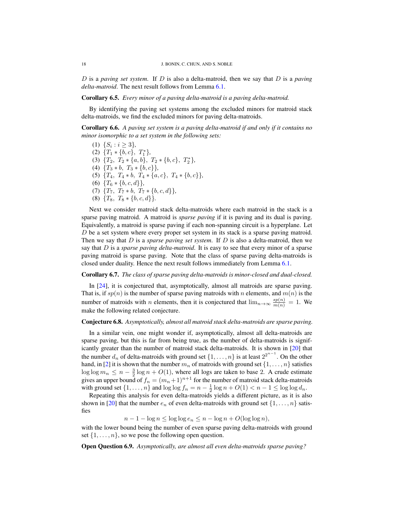D is a *paving set system*. If D is also a delta-matroid, then we say that D is a *paving delta-matroid*. The next result follows from Lemma [6.1.](#page-16-1)

#### Corollary 6.5. *Every minor of a paving delta-matroid is a paving delta-matroid.*

By identifying the paving set systems among the excluded minors for matroid stack delta-matroids, we find the excluded minors for paving delta-matroids.

Corollary 6.6. *A paving set system is a paving delta-matroid if and only if it contains no minor isomorphic to a set system in the following sets:*

(1)  $\{S_i : i \geq 3\}$ , (2)  ${T_1 * \{b, c\}, T_1^*},$ (3)  ${T_2, T_2 * {a, b}, T_2 * {b, c}, T_2^*}$ (4)  ${T_3 * b, T_3 * {b, c}}$ , (5)  $\{T_4, T_4 * b, T_4 * \{a, c\}, T_4 * \{b, c\}\},\$ (6)  ${T_6 * \{b, c, d\}},$ (7)  ${T_7, T_7 * b, T_7 * {b, c, d}}$ (8)  ${T_8, T_8 * \{b, c, d\}}.$ 

Next we consider matroid stack delta-matroids where each matroid in the stack is a sparse paving matroid. A matroid is *sparse paving* if it is paving and its dual is paving. Equivalently, a matroid is sparse paving if each non-spanning circuit is a hyperplane. Let D be a set system where every proper set system in its stack is a sparse paving matroid. Then we say that D is a *sparse paving set system*. If D is also a delta-matroid, then we say that D is a *sparse paving delta-matroid*. It is easy to see that every minor of a sparse paving matroid is sparse paving. Note that the class of sparse paving delta-matroids is closed under duality. Hence the next result follows immediately from Lemma [6.1.](#page-16-1)

## Corollary 6.7. *The class of sparse paving delta-matroids is minor-closed and dual-closed.*

In [\[24\]](#page-23-26), it is conjectured that, asymptotically, almost all matroids are sparse paving. That is, if  $sp(n)$  is the number of sparse paving matroids with n elements, and  $m(n)$  is the number of matroids with *n* elements, then it is conjectured that  $\lim_{n\to\infty} \frac{sp(n)}{m(n)} = 1$ . We make the following related conjecture.

#### Conjecture 6.8. *Asymptotically, almost all matroid stack delta-matroids are sparse paving.*

In a similar vein, one might wonder if, asymptotically, almost all delta-matroids are sparse paving, but this is far from being true, as the number of delta-matroids is significantly greater than the number of matroid stack delta-matroids. It is shown in [\[20\]](#page-23-27) that the number  $d_n$  of delta-matroids with ground set  $\{1, \ldots, n\}$  is at least  $2^{2^{n-1}}$ . On the other hand, in [\[2\]](#page-23-28) it is shown that the number  $m_n$  of matroids with ground set  $\{1, \ldots, n\}$  satisfies  $\log \log m_n \leq n - \frac{3}{2} \log n + O(1)$ , where all logs are taken to base 2. A crude estimate gives an upper bound of  $f_n = (m_n+1)^{n+1}$  for the number of matroid stack delta-matroids with ground set  $\{1, \ldots, n\}$  and  $\log \log f_n = n - \frac{1}{2} \log n + O(1) < n - 1 \le \log \log d_n$ .

Repeating this analysis for even delta-matroids yields a different picture, as it is also shown in [\[20\]](#page-23-27) that the number  $e_n$  of even delta-matroids with ground set  $\{1, \ldots, n\}$  satisfies

 $n-1-\log n \leq \log \log e_n \leq n-\log n + O(\log \log n),$ 

with the lower bound being the number of even sparse paving delta-matroids with ground set  $\{1, \ldots, n\}$ , so we pose the following open question.

Open Question 6.9. *Asymptotically, are almost all even delta-matroids sparse paving?*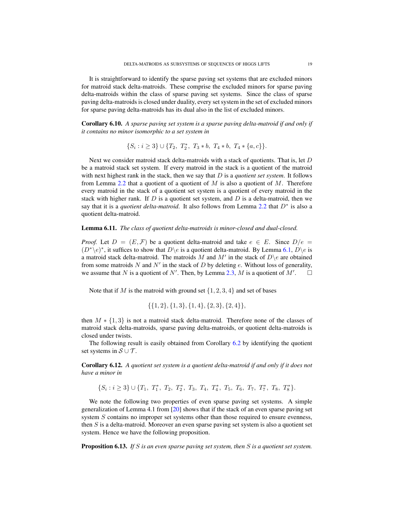It is straightforward to identify the sparse paving set systems that are excluded minors for matroid stack delta-matroids. These comprise the excluded minors for sparse paving delta-matroids within the class of sparse paving set systems. Since the class of sparse paving delta-matroids is closed under duality, every set system in the set of excluded minors for sparse paving delta-matroids has its dual also in the list of excluded minors.

Corollary 6.10. *A sparse paving set system is a sparse paving delta-matroid if and only if it contains no minor isomorphic to a set system in*

$$
\{S_i: i \geq 3\} \cup \{T_2, T_2^*, T_3 * b, T_4 * b, T_4 * \{a, c\}\}.
$$

Next we consider matroid stack delta-matroids with a stack of quotients. That is, let D be a matroid stack set system. If every matroid in the stack is a quotient of the matroid with next highest rank in the stack, then we say that D is a *quotient set system*. It follows from Lemma [2.2](#page-4-4) that a quotient of a quotient of  $M$  is also a quotient of  $M$ . Therefore every matroid in the stack of a quotient set system is a quotient of every matroid in the stack with higher rank. If  $D$  is a quotient set system, and  $D$  is a delta-matroid, then we say that it is a *quotient delta-matroid*. It also follows from Lemma  $2.2$  that  $D^*$  is also a quotient delta-matroid.

## Lemma 6.11. *The class of quotient delta-matroids is minor-closed and dual-closed.*

*Proof.* Let  $D = (E, \mathcal{F})$  be a quotient delta-matroid and take  $e \in E$ . Since  $D/e =$  $(D^*\backslash e)^*$ , it suffices to show that  $D\backslash e$  is a quotient delta-matroid. By Lemma [6.1,](#page-16-1)  $D\backslash e$  is a matroid stack delta-matroid. The matroids M and M' in the stack of  $D \backslash e$  are obtained from some matroids N and  $N'$  in the stack of D by deleting e. Without loss of generality, we assume that N is a quotient of N'. Then, by Lemma [2.3,](#page-4-2) M is a quotient of  $M'$  $\Box$ 

Note that if M is the matroid with ground set  $\{1, 2, 3, 4\}$  and set of bases

$$
\{\{1,2\},\{1,3\},\{1,4\},\{2,3\},\{2,4\}\},\
$$

then  $M * \{1,3\}$  is not a matroid stack delta-matroid. Therefore none of the classes of matroid stack delta-matroids, sparse paving delta-matroids, or quotient delta-matroids is closed under twists.

The following result is easily obtained from Corollary [6.2](#page-17-1) by identifying the quotient set systems in  $S \cup T$ .

Corollary 6.12. *A quotient set system is a quotient delta-matroid if and only if it does not have a minor in*

 $\{S_i : i \geq 3\} \cup \{T_1, T_1^*, T_2, T_2^*, T_3, T_4, T_4^*, T_5, T_6, T_7, T_7^*, T_8, T_8^*\}.$ 

We note the following two properties of even sparse paving set systems. A simple generalization of Lemma 4.1 from [\[20\]](#page-23-27) shows that if the stack of an even sparse paving set system S contains no improper set systems other than those required to ensure evenness, then  $S$  is a delta-matroid. Moreover an even sparse paving set system is also a quotient set system. Hence we have the following proposition.

Proposition 6.13. *If* S *is an even sparse paving set system, then* S *is a quotient set system.*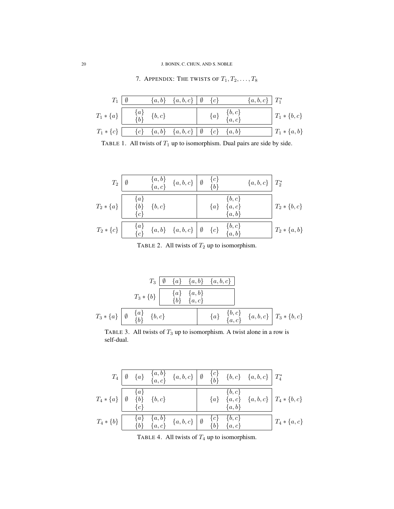# <span id="page-20-1"></span>20 J. BONIN, C. CHUN, AND S. NOBLE

| $T_{1}$                                               |  | $\{a,b\}$ $\{a,b,c\}$   Ø $\{c\}$   |  |                                 | $\{a, b, c\}$   $T_1^*$ |                  |
|-------------------------------------------------------|--|-------------------------------------|--|---------------------------------|-------------------------|------------------|
| $T_1 * \{a\}$ $\begin{cases} a\} \{b,c\} \end{cases}$ |  |                                     |  | $\{a\} \quad \{b,c\} \ \{a,c\}$ |                         | $T_1 * \{b, c\}$ |
| $T_1 * \{c\}$                                         |  | ${c}$ ${a,b}$ ${a,b,c}$ $\emptyset$ |  | $\{c\}$ $\{a,b\}$               |                         | $T_1 * \{a, b\}$ |

7. APPENDIX: THE TWISTS OF  $T_1, T_2, \ldots, T_8$ 

<span id="page-20-0"></span>TABLE 1. All twists of  $T_1$  up to isomorphism. Dual pairs are side by side.

$$
T_2 \begin{array}{|c|c|c|c|c|} \hline q & \{a,b\} & \{a,b,c\} & \emptyset & \{c\} & \{a,b,c\} & T_2^* \\\hline \{a\} & \{a,c\} & \{b\} & \{b,c\} & \{a\} & \{a,c\} & \{a,b,c\} \\ \hline \{c\} & \{c\} & \{a,b\} & \{a,b\} & \{a,b\} & \{a,b\} \\ \hline \{c\} & \{a,b\} & \{a,b,c\} & \emptyset & \{c\} & \{a,b\} & \{a,b\} \\ \hline \end{array}
$$

TABLE 2. All twists of  $T_2$  up to isomorphism.

$$
T_3 \begin{array}{c|c|c|c|c} T_3 & \boxed{\emptyset & \{a\} & \{a,b\} & \{a,b,c\}} \\ \hline & & T_3 \ast \{b\} & & \boxed{\{a\} & \{a,b\} \\ \hline & & \{b\} & \{a,c\} \\ \end{array}
$$
\n
$$
T_3 \ast \{a\} \begin{array}{c|c|c|c} \hline a & \{a\} & \{a,b\} & \{a\} \\ \hline & & \{b,c\} & \{a,b,c\} \\ \end{array} \begin{array}{c|c|c} \hline & T_3 \ast \{b,c\} & \end{array}
$$

TABLE 3. All twists of  $T_3$  up to isomorphism. A twist alone in a row is self-dual.

|                                                                                                |  |                                                                                                                                                                 |  | $T_4 \begin{bmatrix} \emptyset & \{a\} & \{a,b\} \end{bmatrix}$ $\{a,b,c\} \begin{bmatrix} c \emptyset & \{b,c\} & \{a,b,c\} \end{bmatrix} T_4^*$ |                                                                                                                                                                          |
|------------------------------------------------------------------------------------------------|--|-----------------------------------------------------------------------------------------------------------------------------------------------------------------|--|---------------------------------------------------------------------------------------------------------------------------------------------------|--------------------------------------------------------------------------------------------------------------------------------------------------------------------------|
| $I_4*\{a\}\begin{array}{ l }\hline \{a\} \\\emptyset & \{b\} \\\hline \{c\}\end{array}\{b,c\}$ |  |                                                                                                                                                                 |  |                                                                                                                                                   | $\begin{array}{c c} \hline \{ \overline{b},c \} \ \hline \ \{a,c\} & \{a,b,c\} \ \hline \ \{a,b\} \end{array} \begin{array}{c} \overline{1} \ T_4*\{b,c_1\} \end{array}$ |
| $T_4 * \{b\}$                                                                                  |  | $\begin{array}{cc} \{a\} & \{a,b\} \ \{b\} & \{a,c\} & \{a,b,c\} \end{array} \begin{array}{cc} \{\alpha\} & \{\alpha\} & \{b,c\} \ \{b\} & \{a,c\} \end{array}$ |  |                                                                                                                                                   | $T_4 * \{a, c\}$                                                                                                                                                         |

TABLE 4. All twists of  $T_4$  up to isomorphism.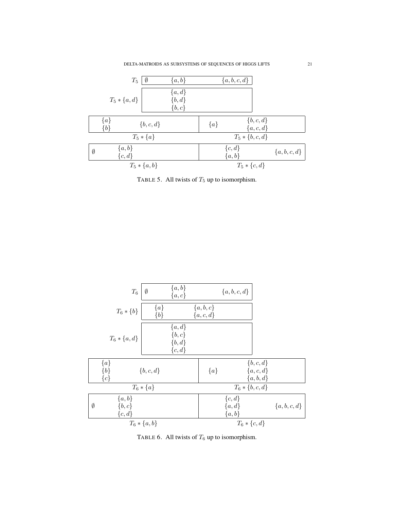

TABLE 5. All twists of  $T_5$  up to isomorphism.



TABLE 6. All twists of  $T_6$  up to isomorphism.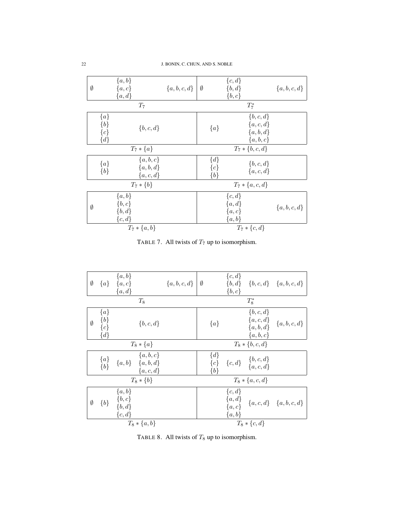| Ø           | ${a,b}$<br>$\{a,c\}$<br>${a,d}$                         | ${a,b,c,d}$ | Ø                         | $\{c,d\}$<br>${b,d}$<br>$\{b,c\}$                    | ${a,b,c,d}$ |
|-------------|---------------------------------------------------------|-------------|---------------------------|------------------------------------------------------|-------------|
|             | $T_7$                                                   |             |                           | $T_7^*$                                              |             |
|             | ${a}$<br>${b}$<br>$\{b,c,d\}$<br>${c}$<br>$\{d\}$       |             | ${a}$                     | $\{b,c,d\}$<br>${a, c, d}$<br>${a,b,d}$<br>${a,b,c}$ |             |
|             | $T_7 * \{a\}$                                           |             |                           | $T_7 * \{b, c, d\}$                                  |             |
|             | ${a,b,c}$<br>${a}$<br>${a,b,d}$<br>${b}$<br>${a, c, d}$ |             | $\{d\}$<br>${c}$<br>${b}$ | $\{b,c,d\}$<br>${a, c, d}$                           |             |
|             | $T_7 * \{b\}$                                           |             |                           | $T_7 * \{a, c, d\}$                                  |             |
| $\emptyset$ | $\{a,b\}$<br>$\{b,c\}$<br>${b,d}$<br>$\{c,d\}$          |             |                           | $\{c,d\}$<br>${a,d}$<br>$\{a,c\}$<br>$\{a,b\}$       | ${a,b,c,d}$ |
|             | $T_7 * \{a, b\}$                                        |             |                           | $T_7 * \{c, d\}$                                     |             |

TABLE 7. All twists of  $T_7$  up to isomorphism.

| Ø           |                                        | $\{a,b\}$<br>${a} \quad {a, c}$<br>${a,d}$      | $\{a, b, c, d\}$ | Ø                | $\{c,d\}$<br>$\{b,c\}$                       |                                                        | ${b,d}$ ${b,c,d}$ ${a,b,c,d}$ |
|-------------|----------------------------------------|-------------------------------------------------|------------------|------------------|----------------------------------------------|--------------------------------------------------------|-------------------------------|
|             |                                        | $T_8$                                           |                  |                  |                                              | $T_8^*$                                                |                               |
| $\emptyset$ | $\{a\}$<br>$\{b\}$<br>${c}$<br>$\{d\}$ | $\{b,c,d\}$                                     |                  | ${a}$            |                                              | $\{b,c,d\}$<br>${a, c, d}$<br>${a,b,d}$<br>${a,b,c}$   | ${a, b, c, d}$                |
|             |                                        | $T_8 * \{a\}$                                   |                  |                  |                                              | $T_8 * \{b, c, d\}$                                    |                               |
|             | ${a}$<br>${b}$                         | ${a,b,c}$<br>${a,b}$ ${a,b,d}$<br>${a, c, d}$   |                  | $\{d\}$<br>${b}$ |                                              | ${c \brace c} {c \brace c,d} \quad {c,d \brace a,c,d}$ |                               |
|             |                                        | $T_8 * \{b\}$                                   |                  |                  |                                              | $T_8 * \{a, c, d\}$                                    |                               |
| $\emptyset$ | ${b}$                                  | $\{a,b\}$<br>$\{b,c\}$<br>$\{b, d\}$<br>${c,d}$ |                  |                  | $\{c,d\}$<br>${a,d}$<br>$\{a,c\}$<br>${a,b}$ |                                                        | ${a, c, d} \{a, b, c, d\}$    |
|             |                                        | $T_8 * \{a, b\}$                                |                  |                  |                                              | $T_8 * \{c, d\}$                                       |                               |

<span id="page-22-0"></span>TABLE 8. All twists of  $T_8$  up to isomorphism.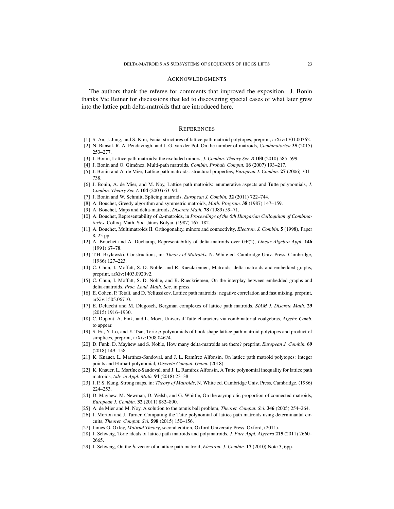#### ACKNOWLEDGMENTS

The authors thank the referee for comments that improved the exposition. J. Bonin thanks Vic Reiner for discussions that led to discovering special cases of what later grew into the lattice path delta-matroids that are introduced here.

#### **REFERENCES**

- <span id="page-23-10"></span>[1] S. An, J. Jung, and S. Kim, Facial structures of lattice path matroid polytopes, preprint, arXiv:1701.00362.
- <span id="page-23-28"></span>[2] N. Bansal. R. A. Pendavingh, and J. G. van der Pol, On the number of matroids, *Combinatorica* 35 (2015) 253–277.
- <span id="page-23-11"></span>[3] J. Bonin, Lattice path matroids: the excluded minors, *J. Combin. Theory Ser. B* 100 (2010) 585–599.
- <span id="page-23-23"></span>[4] J. Bonin and O. Giménez, Multi-path matroids, *Combin. Probab. Comput.* **16** (2007) 193-217.
- <span id="page-23-12"></span>[5] J. Bonin and A. de Mier, Lattice path matroids: structural properties, *European J. Combin.* 27 (2006) 701– 738.
- <span id="page-23-22"></span>[6] J. Bonin, A. de Mier, and M. Noy, Lattice path matroids: enumerative aspects and Tutte polynomials, *J. Combin. Theory Ser. A* 104 (2003) 63–94.
- <span id="page-23-7"></span>[7] J. Bonin and W. Schmitt, Splicing matroids, *European J. Combin.* 32 (2011) 722–744.
- <span id="page-23-0"></span>[8] A. Bouchet, Greedy algorithm and symmetric matroids, *Math. Program.* 38 (1987) 147–159.
- <span id="page-23-24"></span>[9] A. Bouchet, Maps and delta-matroids, *Discrete Math.* 78 (1989) 59–71.
- <span id="page-23-25"></span>[10] A. Bouchet, Representability of ∆-matroids, in *Proceedings of the 6th Hungarian Colloquium of Combina*torics, Colloq. Math. Soc. János Bolyai, (1987) 167-182.
- <span id="page-23-3"></span>[11] A. Bouchet, Multimatroids II. Orthogonality, minors and connectivity, *Electron. J. Combin.* 5 (1998), Paper 8, 25 pp.
- <span id="page-23-4"></span>[12] A. Bouchet and A. Duchamp, Representability of delta-matroids over GF(2), *Linear Algebra Appl.* 146 (1991) 67–78.
- <span id="page-23-6"></span>[13] T.H. Brylawski, Constructions, in: *Theory of Matroids*, N. White ed. Cambridge Univ. Press, Cambridge, (1986) 127–223.
- <span id="page-23-1"></span>[14] C. Chun, I. Moffatt, S. D. Noble, and R. Rueckriemen, Matroids, delta-matroids and embedded graphs, preprint, arXiv:1403.0920v2.
- <span id="page-23-2"></span>[15] C. Chun, I. Moffatt, S. D. Noble, and R. Rueckriemen, On the interplay between embedded graphs and delta-matroids, *Proc. Lond. Math. Soc.* in press.
- <span id="page-23-13"></span>[16] E. Cohen, P. Tetali, and D. Yeliussizov, Lattice path matroids: negative correlation and fast mixing, preprint, arXiv:1505.06710.
- <span id="page-23-14"></span>[17] E. Delucchi and M. Dlugosch, Bergman complexes of lattice path matroids, *SIAM J. Discrete Math.* 29 (2015) 1916–1930.
- <span id="page-23-9"></span>[18] C. Dupont, A. Fink, and L. Moci, Universal Tutte characters via combinatorial coalgebras, *Algebr. Comb.* to appear.
- <span id="page-23-15"></span>[19] S. Eu, Y. Lo, and Y. Tsai, Toric g-polynomials of hook shape lattice path matroid polytopes and product of simplices, preprint, arXiv:1508.04674.
- <span id="page-23-27"></span>[20] D. Funk, D. Mayhew and S. Noble, How many delta-matroids are there? preprint, *European J. Combin.* 69 (2018) 149–158.
- <span id="page-23-16"></span>[21] K. Knauer, L. Martínez-Sandoval, and J. L. Ramírez Alfonsín, On lattice path matroid polytopes: integer points and Ehrhart polynomial, *Discrete Comput. Geom.* (2018).
- <span id="page-23-17"></span>[22] K. Knauer, L. Martínez-Sandoval, and J. L. Ramírez Alfonsín, A Tutte polynomial inequality for lattice path matroids, *Adv. in Appl. Math.* 94 (2018) 23–38.
- <span id="page-23-8"></span>[23] J. P. S. Kung, Strong maps, in: *Theory of Matroids*, N. White ed. Cambridge Univ. Press, Cambridge, (1986) 224–253.
- <span id="page-23-26"></span>[24] D. Mayhew, M. Newman, D. Welsh, and G. Whittle, On the asymptotic proportion of connected matroids, *European J. Combin.* 32 (2011) 882–890.
- <span id="page-23-18"></span>[25] A. de Mier and M. Noy, A solution to the tennis ball problem, *Theoret. Comput. Sci.* 346 (2005) 254–264.
- <span id="page-23-19"></span>[26] J. Morton and J. Turner, Computing the Tutte polynomial of lattice path matroids using determinantal circuits, *Theoret. Comput. Sci.* 598 (2015) 150–156.
- <span id="page-23-5"></span>[27] James G. Oxley, *Matroid Theory*, second edition, Oxford University Press, Oxford, (2011).
- <span id="page-23-20"></span>[28] J. Schweig, Toric ideals of lattice path matroids and polymatroids, *J. Pure Appl. Algebra* 215 (2011) 2660– 2665.
- <span id="page-23-21"></span>[29] J. Schweig, On the h-vector of a lattice path matroid, *Electron. J. Combin.* 17 (2010) Note 3, 6pp.